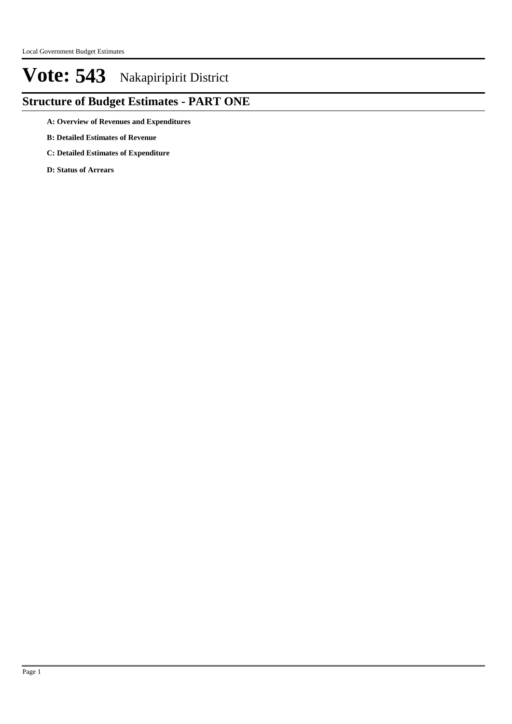## **Structure of Budget Estimates - PART ONE**

**A: Overview of Revenues and Expenditures**

- **B: Detailed Estimates of Revenue**
- **C: Detailed Estimates of Expenditure**

**D: Status of Arrears**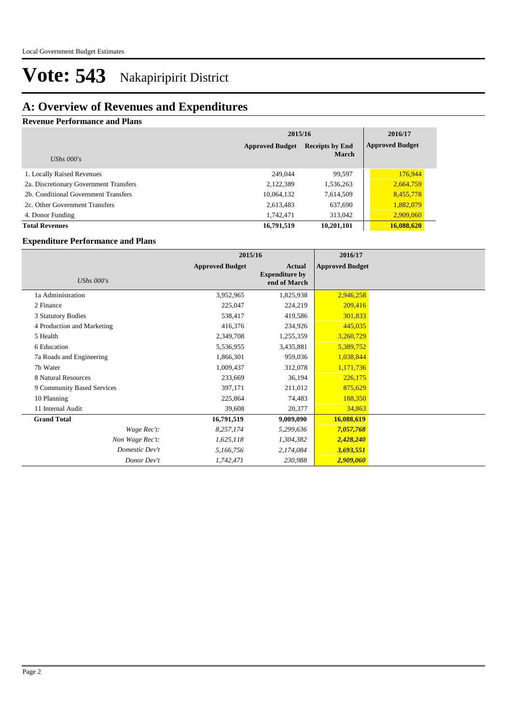### **A: Overview of Revenues and Expenditures**

#### **Revenue Performance and Plans**

|                                        | 2015/16                                          | 2016/17      |                        |
|----------------------------------------|--------------------------------------------------|--------------|------------------------|
|                                        | <b>Approved Budget</b><br><b>Receipts by End</b> |              | <b>Approved Budget</b> |
| UShs $000's$                           |                                                  | <b>March</b> |                        |
| 1. Locally Raised Revenues             | 249,044                                          | 99,597       | 176,944                |
| 2a. Discretionary Government Transfers | 2,122,389                                        | 1,536,263    | 2,664,759              |
| 2b. Conditional Government Transfers   | 10,064,132                                       | 7,614,509    | 8,455,778              |
| 2c. Other Government Transfers         | 2,613,483                                        | 637,690      | 1,882,079              |
| 4. Donor Funding                       | 1,742,471                                        | 313,042      | 2,909,060              |
| <b>Total Revenues</b>                  | 16,791,519                                       | 10,201,101   | 16,088,620             |

#### **Expenditure Performance and Plans**

|                            | 2015/16                |                                                        | 2016/17                |  |
|----------------------------|------------------------|--------------------------------------------------------|------------------------|--|
| UShs $000's$               | <b>Approved Budget</b> | <b>Actual</b><br><b>Expenditure by</b><br>end of March | <b>Approved Budget</b> |  |
| 1a Administration          | 3,952,965              | 1,825,938                                              | 2,946,258              |  |
| 2 Finance                  | 225,047                | 224,219                                                | 209,416                |  |
| 3 Statutory Bodies         | 538,417                | 419,586                                                | 301,833                |  |
| 4 Production and Marketing | 416,376                | 234,926                                                | 445,035                |  |
| 5 Health                   | 2,349,708              | 1,255,359                                              | 3,260,729              |  |
| 6 Education                | 5,536,955              | 3,435,881                                              | 5,389,752              |  |
| 7a Roads and Engineering   | 1,866,301              | 959,036                                                | 1,038,844              |  |
| 7b Water                   | 1,009,437              | 312,078                                                | 1,171,736              |  |
| 8 Natural Resources        | 233,669                | 36,194                                                 | 226,175                |  |
| 9 Community Based Services | 397,171                | 211,012                                                | 875,629                |  |
| 10 Planning                | 225,864                | 74,483                                                 | 188,350                |  |
| 11 Internal Audit          | 39,608                 | 20,377                                                 | 34,863                 |  |
| <b>Grand Total</b>         | 16,791,519             | 9,009,090                                              | 16,088,619             |  |
| Wage Rec't:                | 8,257,174              | 5,299,636                                              | 7,057,768              |  |
| Non Wage Rec't:            | 1,625,118              | 1,304,382                                              | 2,428,240              |  |
| Domestic Dev't             | 5,166,756              | 2,174,084                                              | 3,693,551              |  |
| Donor Dev't                | 1,742,471              | 230,988                                                | 2,909,060              |  |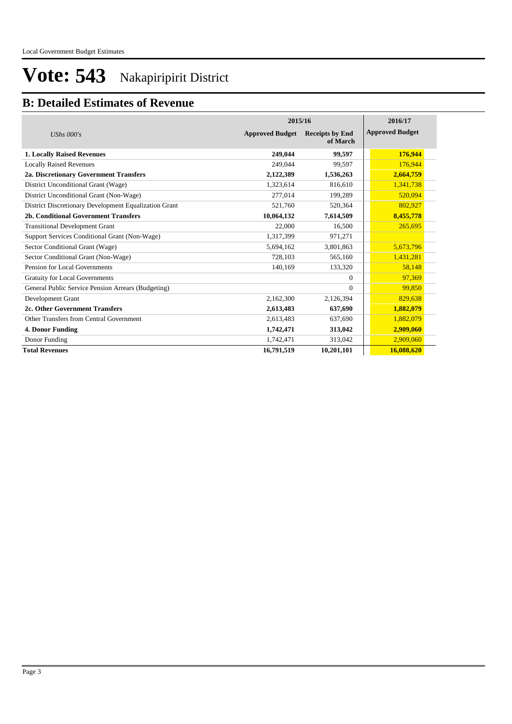### **B: Detailed Estimates of Revenue**

|                                                       | 2015/16                | 2016/17                            |                        |  |
|-------------------------------------------------------|------------------------|------------------------------------|------------------------|--|
| UShs $000's$                                          | <b>Approved Budget</b> | <b>Receipts by End</b><br>of March | <b>Approved Budget</b> |  |
| <b>1. Locally Raised Revenues</b>                     | 249,044                | 99,597                             | 176,944                |  |
| <b>Locally Raised Revenues</b>                        | 249,044                | 99,597                             | 176,944                |  |
| 2a. Discretionary Government Transfers                | 2,122,389              | 1,536,263                          | 2,664,759              |  |
| District Unconditional Grant (Wage)                   | 1,323,614              | 816,610                            | 1,341,738              |  |
| District Unconditional Grant (Non-Wage)               | 277,014                | 199,289                            | 520,094                |  |
| District Discretionary Development Equalization Grant | 521,760                | 520,364                            | 802,927                |  |
| 2b. Conditional Government Transfers                  | 10,064,132             | 7,614,509                          | 8,455,778              |  |
| <b>Transitional Development Grant</b>                 | 22,000                 | 16,500                             | 265,695                |  |
| Support Services Conditional Grant (Non-Wage)         | 1,317,399              | 971,271                            |                        |  |
| Sector Conditional Grant (Wage)                       | 5,694,162              | 3,801,863                          | 5,673,796              |  |
| Sector Conditional Grant (Non-Wage)                   | 728,103                | 565,160                            | 1,431,281              |  |
| Pension for Local Governments                         | 140,169                | 133,320                            | 58,148                 |  |
| <b>Gratuity for Local Governments</b>                 |                        | $\Omega$                           | 97,369                 |  |
| General Public Service Pension Arrears (Budgeting)    |                        | $\Omega$                           | 99,850                 |  |
| Development Grant                                     | 2,162,300              | 2,126,394                          | 829,638                |  |
| 2c. Other Government Transfers                        | 2,613,483              | 637,690                            | 1,882,079              |  |
| Other Transfers from Central Government               | 2,613,483              | 637.690                            | 1,882,079              |  |
| 4. Donor Funding                                      | 1,742,471              | 313,042                            | 2,909,060              |  |
| Donor Funding                                         | 1,742,471              | 313,042                            | 2,909,060              |  |
| <b>Total Revenues</b>                                 | 16,791,519             | 10,201,101                         | 16,088,620             |  |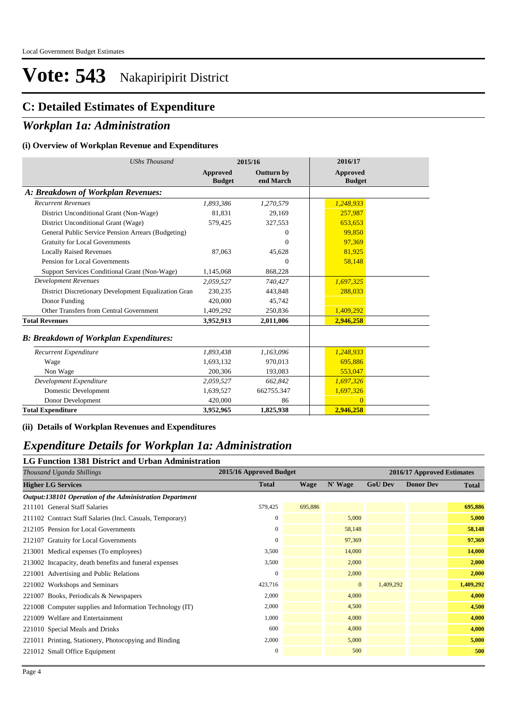## **C: Detailed Estimates of Expenditure**

### *Workplan 1a: Administration*

#### **(i) Overview of Workplan Revenue and Expenditures**

| <b>UShs Thousand</b>                                 | 2015/16                   |                                | 2016/17                          |
|------------------------------------------------------|---------------------------|--------------------------------|----------------------------------|
|                                                      | Approved<br><b>Budget</b> | <b>Outturn by</b><br>end March | <b>Approved</b><br><b>Budget</b> |
| A: Breakdown of Workplan Revenues:                   |                           |                                |                                  |
| <b>Recurrent Revenues</b>                            | 1,893,386                 | 1,270,579                      | 1,248,933                        |
| District Unconditional Grant (Non-Wage)              | 81,831                    | 29,169                         | 257,987                          |
| District Unconditional Grant (Wage)                  | 579,425                   | 327,553                        | 653,653                          |
| General Public Service Pension Arrears (Budgeting)   |                           | $\Omega$                       | 99.850                           |
| <b>Gratuity for Local Governments</b>                |                           | $\Omega$                       | 97,369                           |
| <b>Locally Raised Revenues</b>                       | 87,063                    | 45,628                         | 81,925                           |
| Pension for Local Governments                        |                           | $\Omega$                       | 58,148                           |
| Support Services Conditional Grant (Non-Wage)        | 1,145,068                 | 868,228                        |                                  |
| <b>Development Revenues</b>                          | 2,059,527                 | 740,427                        | 1,697,325                        |
| District Discretionary Development Equalization Gran | 230,235                   | 443,848                        | 288,033                          |
| Donor Funding                                        | 420,000                   | 45,742                         |                                  |
| Other Transfers from Central Government              | 1,409,292                 | 250,836                        | 1,409,292                        |
| <b>Total Revenues</b>                                | 3,952,913                 | 2,011,006                      | 2,946,258                        |
| <b>B: Breakdown of Workplan Expenditures:</b>        |                           |                                |                                  |
| Recurrent Expenditure                                | 1,893,438                 | 1,163,096                      | 1,248,933                        |
| Wage                                                 | 1,693,132                 | 970.013                        | 695,886                          |
| Non Wage                                             | 200,306                   | 193,083                        | 553,047                          |
| Development Expenditure                              | 2,059,527                 | 662,842                        | 1,697,326                        |
| Domestic Development                                 | 1,639,527                 | 662755.347                     | 1,697,326                        |
| Donor Development                                    | 420,000                   | 86                             | $\overline{0}$                   |
| <b>Total Expenditure</b>                             | 3,952,965                 | 1,825,938                      | 2,946,258                        |

#### **(ii) Details of Workplan Revenues and Expenditures**

#### *Expenditure Details for Workplan 1a: Administration*

#### **LG Function 1381 District and Urban Administration**

| Thousand Uganda Shillings                                 | 2015/16 Approved Budget |             |              | 2016/17 Approved Estimates |                  |              |
|-----------------------------------------------------------|-------------------------|-------------|--------------|----------------------------|------------------|--------------|
| <b>Higher LG Services</b>                                 | <b>Total</b>            | <b>Wage</b> | N' Wage      | <b>GoU Dev</b>             | <b>Donor Dev</b> | <b>Total</b> |
| Output:138101 Operation of the Administration Department  |                         |             |              |                            |                  |              |
| 211101 General Staff Salaries                             | 579,425                 | 695,886     |              |                            |                  | 695,886      |
| 211102 Contract Staff Salaries (Incl. Casuals, Temporary) | $\mathbf{0}$            |             | 5,000        |                            |                  | 5,000        |
| 212105 Pension for Local Governments                      | 0                       |             | 58,148       |                            |                  | 58,148       |
| 212107 Gratuity for Local Governments                     | $\mathbf{0}$            |             | 97,369       |                            |                  | 97,369       |
| 213001 Medical expenses (To employees)                    | 3,500                   |             | 14,000       |                            |                  | 14,000       |
| 213002 Incapacity, death benefits and funeral expenses    | 3,500                   |             | 2,000        |                            |                  | 2,000        |
| 221001 Advertising and Public Relations                   | $\mathbf{0}$            |             | 2,000        |                            |                  | 2,000        |
| 221002 Workshops and Seminars                             | 423,716                 |             | $\mathbf{0}$ | 1,409,292                  |                  | 1,409,292    |
| 221007 Books, Periodicals & Newspapers                    | 2,000                   |             | 4,000        |                            |                  | 4,000        |
| 221008 Computer supplies and Information Technology (IT)  | 2,000                   |             | 4,500        |                            |                  | 4,500        |
| 221009 Welfare and Entertainment                          | 1,000                   |             | 4,000        |                            |                  | 4,000        |
| 221010 Special Meals and Drinks                           | 600                     |             | 4,000        |                            |                  | 4,000        |
| 221011 Printing, Stationery, Photocopying and Binding     | 2,000                   |             | 5,000        |                            |                  | 5,000        |
| 221012 Small Office Equipment                             | $\mathbf{0}$            |             | 500          |                            |                  | 500          |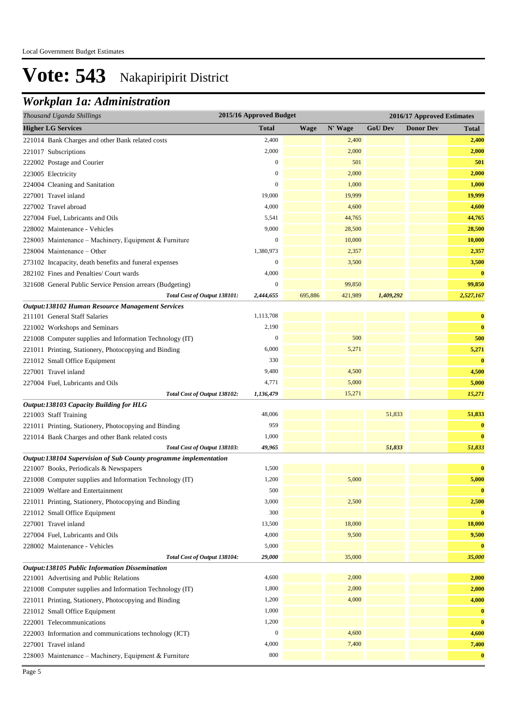## *Workplan 1a: Administration*

| Thousand Uganda Shillings                                        | 2015/16 Approved Budget |             |         |                | 2016/17 Approved Estimates |              |  |
|------------------------------------------------------------------|-------------------------|-------------|---------|----------------|----------------------------|--------------|--|
| <b>Higher LG Services</b>                                        | <b>Total</b>            | <b>Wage</b> | N' Wage | <b>GoU Dev</b> | <b>Donor Dev</b>           | <b>Total</b> |  |
| 221014 Bank Charges and other Bank related costs                 | 2,400                   |             | 2,400   |                |                            | 2,400        |  |
| 221017 Subscriptions                                             | 2,000                   |             | 2,000   |                |                            | 2,000        |  |
| 222002 Postage and Courier                                       | $\mathbf{0}$            |             | 501     |                |                            | 501          |  |
| 223005 Electricity                                               | $\boldsymbol{0}$        |             | 2,000   |                |                            | 2,000        |  |
| 224004 Cleaning and Sanitation                                   | $\mathbf{0}$            |             | 1,000   |                |                            | 1,000        |  |
| 227001 Travel inland                                             | 19,000                  |             | 19,999  |                |                            | 19,999       |  |
| 227002 Travel abroad                                             | 4,000                   |             | 4,600   |                |                            | 4,600        |  |
| 227004 Fuel, Lubricants and Oils                                 | 5,541                   |             | 44,765  |                |                            | 44,765       |  |
| 228002 Maintenance - Vehicles                                    | 9,000                   |             | 28,500  |                |                            | 28,500       |  |
| 228003 Maintenance - Machinery, Equipment & Furniture            | $\mathbf{0}$            |             | 10,000  |                |                            | 10,000       |  |
| 228004 Maintenance – Other                                       | 1,380,973               |             | 2,357   |                |                            | 2,357        |  |
| 273102 Incapacity, death benefits and funeral expenses           | $\mathbf{0}$            |             | 3,500   |                |                            | 3,500        |  |
| 282102 Fines and Penalties/ Court wards                          | 4,000                   |             |         |                |                            | $\bf{0}$     |  |
| 321608 General Public Service Pension arrears (Budgeting)        | $\boldsymbol{0}$        |             | 99,850  |                |                            | 99,850       |  |
| Total Cost of Output 138101:                                     | 2,444,655               | 695,886     | 421,989 | 1,409,292      |                            | 2,527,167    |  |
| Output:138102 Human Resource Management Services                 |                         |             |         |                |                            |              |  |
| 211101 General Staff Salaries                                    | 1,113,708               |             |         |                |                            | $\bf{0}$     |  |
| 221002 Workshops and Seminars                                    | 2,190                   |             |         |                |                            | $\bf{0}$     |  |
| 221008 Computer supplies and Information Technology (IT)         | $\boldsymbol{0}$        |             | 500     |                |                            | 500          |  |
| 221011 Printing, Stationery, Photocopying and Binding            | 6,000                   |             | 5,271   |                |                            | 5,271        |  |
| 221012 Small Office Equipment                                    | 330                     |             |         |                |                            | $\bf{0}$     |  |
| 227001 Travel inland                                             | 9,480                   |             | 4,500   |                |                            | 4,500        |  |
| 227004 Fuel, Lubricants and Oils                                 | 4,771                   |             | 5,000   |                |                            | 5,000        |  |
| Total Cost of Output 138102:                                     | 1,136,479               |             | 15,271  |                |                            | 15,271       |  |
| Output:138103 Capacity Building for HLG                          |                         |             |         |                |                            |              |  |
| 221003 Staff Training                                            | 48,006                  |             |         | 51,833         |                            | 51,833       |  |
| 221011 Printing, Stationery, Photocopying and Binding            | 959                     |             |         |                |                            | $\bf{0}$     |  |
| 221014 Bank Charges and other Bank related costs                 | 1,000                   |             |         |                |                            | $\bf{0}$     |  |
| Total Cost of Output 138103:                                     | 49,965                  |             |         | 51,833         |                            | 51,833       |  |
| Output:138104 Supervision of Sub County programme implementation |                         |             |         |                |                            |              |  |
| 221007 Books, Periodicals & Newspapers                           | 1,500                   |             |         |                |                            | $\bf{0}$     |  |
| 221008 Computer supplies and Information Technology (IT)         | 1,200                   |             | 5,000   |                |                            | 5,000        |  |
| 221009 Welfare and Entertainment                                 | 500                     |             |         |                |                            | $\bf{0}$     |  |
| 221011 Printing, Stationery, Photocopying and Binding            | 3,000                   |             | 2,500   |                |                            | 2,500        |  |
| 221012 Small Office Equipment                                    | 300                     |             |         |                |                            | $\bf{0}$     |  |
| 227001 Travel inland                                             | 13,500                  |             | 18,000  |                |                            | 18,000       |  |
| 227004 Fuel, Lubricants and Oils                                 | 4,000                   |             | 9,500   |                |                            | 9,500        |  |
| 228002 Maintenance - Vehicles                                    | 5,000                   |             |         |                |                            | $\bf{0}$     |  |
| Total Cost of Output 138104:                                     | 29,000                  |             | 35,000  |                |                            | 35,000       |  |
| Output:138105 Public Information Dissemination                   |                         |             |         |                |                            |              |  |
| 221001 Advertising and Public Relations                          | 4,600                   |             | 2,000   |                |                            | 2,000        |  |
| 221008 Computer supplies and Information Technology (IT)         | 1,800                   |             | 2,000   |                |                            | 2,000        |  |
| 221011 Printing, Stationery, Photocopying and Binding            | 1,200                   |             | 4,000   |                |                            | 4,000        |  |
| 221012 Small Office Equipment                                    | 1,000                   |             |         |                |                            | $\bf{0}$     |  |
| 222001 Telecommunications                                        | 1,200                   |             |         |                |                            | $\bf{0}$     |  |
| 222003 Information and communications technology (ICT)           | $\boldsymbol{0}$        |             | 4,600   |                |                            | 4,600        |  |
| 227001 Travel inland                                             | 4,000                   |             | 7,400   |                |                            | 7,400        |  |
| 228003 Maintenance - Machinery, Equipment & Furniture            | 800                     |             |         |                |                            | $\bf{0}$     |  |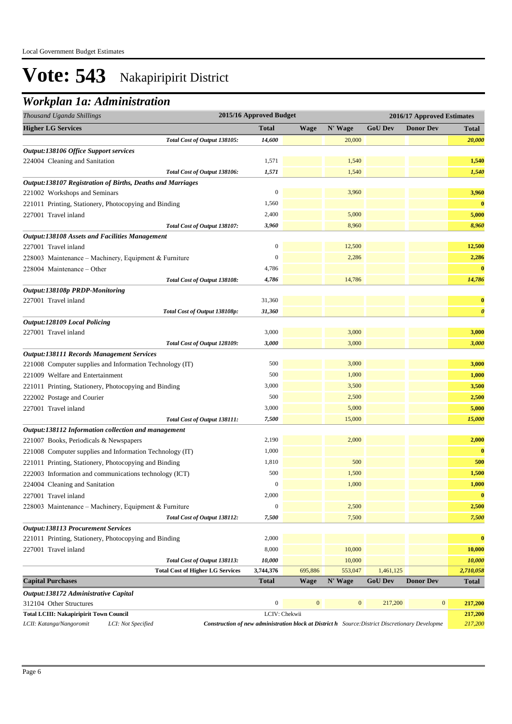## *Workplan 1a: Administration*

| Thousand Uganda Shillings                                                                                                                                | 2015/16 Approved Budget |              |              | 2016/17 Approved Estimates |                  |                       |  |
|----------------------------------------------------------------------------------------------------------------------------------------------------------|-------------------------|--------------|--------------|----------------------------|------------------|-----------------------|--|
| <b>Higher LG Services</b>                                                                                                                                | <b>Total</b>            | <b>Wage</b>  | N' Wage      | <b>GoU Dev</b>             | <b>Donor Dev</b> | Total                 |  |
| Total Cost of Output 138105:                                                                                                                             | 14,600                  |              | 20,000       |                            |                  | 20,000                |  |
| Output:138106 Office Support services                                                                                                                    |                         |              |              |                            |                  |                       |  |
| 224004 Cleaning and Sanitation                                                                                                                           | 1,571                   |              | 1,540        |                            |                  | 1,540                 |  |
| Total Cost of Output 138106:                                                                                                                             | 1,571                   |              | 1,540        |                            |                  | 1,540                 |  |
| Output:138107 Registration of Births, Deaths and Marriages                                                                                               |                         |              |              |                            |                  |                       |  |
| 221002 Workshops and Seminars                                                                                                                            | $\overline{0}$          |              | 3,960        |                            |                  | 3,960                 |  |
| 221011 Printing, Stationery, Photocopying and Binding                                                                                                    | 1,560                   |              |              |                            |                  | $\bf{0}$              |  |
| 227001 Travel inland                                                                                                                                     | 2,400                   |              | 5,000        |                            |                  | 5,000                 |  |
| Total Cost of Output 138107:                                                                                                                             | 3,960                   |              | 8,960        |                            |                  | 8,960                 |  |
| <b>Output:138108 Assets and Facilities Management</b>                                                                                                    |                         |              |              |                            |                  |                       |  |
| 227001 Travel inland                                                                                                                                     | $\boldsymbol{0}$        |              | 12,500       |                            |                  | 12,500                |  |
| 228003 Maintenance - Machinery, Equipment & Furniture                                                                                                    | $\boldsymbol{0}$        |              | 2,286        |                            |                  | 2,286                 |  |
| 228004 Maintenance - Other                                                                                                                               | 4,786                   |              |              |                            |                  | $\bf{0}$              |  |
| Total Cost of Output 138108:                                                                                                                             | 4,786                   |              | 14,786       |                            |                  | 14,786                |  |
| Output:138108p PRDP-Monitoring                                                                                                                           |                         |              |              |                            |                  |                       |  |
| 227001 Travel inland                                                                                                                                     | 31,360                  |              |              |                            |                  | $\bf{0}$              |  |
| Total Cost of Output 138108p:                                                                                                                            | 31,360                  |              |              |                            |                  | $\boldsymbol{\theta}$ |  |
| <b>Output:128109 Local Policing</b>                                                                                                                      |                         |              |              |                            |                  |                       |  |
| 227001 Travel inland                                                                                                                                     | 3,000                   |              | 3,000        |                            |                  | 3,000                 |  |
| Total Cost of Output 128109:                                                                                                                             | 3,000                   |              | 3,000        |                            |                  | 3,000                 |  |
| <b>Output:138111 Records Management Services</b>                                                                                                         |                         |              |              |                            |                  |                       |  |
| 221008 Computer supplies and Information Technology (IT)                                                                                                 | 500                     |              | 3,000        |                            |                  | 3,000                 |  |
| 221009 Welfare and Entertainment                                                                                                                         | 500                     |              | 1,000        |                            |                  | 1,000                 |  |
| 221011 Printing, Stationery, Photocopying and Binding                                                                                                    | 3,000                   |              | 3,500        |                            |                  | 3,500                 |  |
| 222002 Postage and Courier                                                                                                                               | 500                     |              | 2,500        |                            |                  | 2,500                 |  |
| 227001 Travel inland                                                                                                                                     | 3,000                   |              | 5,000        |                            |                  | 5,000                 |  |
| Total Cost of Output 138111:                                                                                                                             | 7,500                   |              | 15,000       |                            |                  | 15,000                |  |
| Output:138112 Information collection and management                                                                                                      |                         |              |              |                            |                  |                       |  |
| 221007 Books, Periodicals & Newspapers                                                                                                                   | 2,190                   |              | 2,000        |                            |                  | 2,000                 |  |
| 221008 Computer supplies and Information Technology (IT)                                                                                                 | 1,000                   |              |              |                            |                  | $\bf{0}$              |  |
|                                                                                                                                                          |                         |              |              |                            |                  |                       |  |
| 221011 Printing, Stationery, Photocopying and Binding                                                                                                    | 1,810                   |              | 500          |                            |                  | 500                   |  |
| 222003 Information and communications technology (ICT)                                                                                                   | 500                     |              | 1,500        |                            |                  | 1,500                 |  |
| 224004 Cleaning and Sanitation                                                                                                                           | $\boldsymbol{0}$        |              | 1,000        |                            |                  | 1,000                 |  |
| 227001 Travel inland                                                                                                                                     | 2,000                   |              |              |                            |                  | $\bf{0}$              |  |
| 228003 Maintenance - Machinery, Equipment & Furniture                                                                                                    | $\boldsymbol{0}$        |              | 2,500        |                            |                  | 2,500                 |  |
| Total Cost of Output 138112:                                                                                                                             | 7,500                   |              | 7,500        |                            |                  | 7,500                 |  |
| <b>Output:138113 Procurement Services</b>                                                                                                                |                         |              |              |                            |                  |                       |  |
| 221011 Printing, Stationery, Photocopying and Binding                                                                                                    | 2,000                   |              |              |                            |                  | $\bf{0}$              |  |
| 227001 Travel inland                                                                                                                                     | 8,000                   |              | 10,000       |                            |                  | 10,000                |  |
| Total Cost of Output 138113:                                                                                                                             | 10,000                  |              | 10,000       |                            |                  | 10,000                |  |
| <b>Total Cost of Higher LG Services</b>                                                                                                                  | 3,744,376               | 695,886      | 553,047      | 1,461,125                  |                  | 2,710,058             |  |
| <b>Capital Purchases</b>                                                                                                                                 | <b>Total</b>            | <b>Wage</b>  | N' Wage      | <b>GoU Dev</b>             | <b>Donor Dev</b> | Total                 |  |
| Output:138172 Administrative Capital                                                                                                                     |                         |              |              |                            |                  |                       |  |
| 312104 Other Structures                                                                                                                                  | $\boldsymbol{0}$        | $\mathbf{0}$ | $\mathbf{0}$ | 217,200                    | $\boldsymbol{0}$ | 217,200               |  |
| <b>Total LCIII: Nakapiripirit Town Council</b>                                                                                                           | LCIV: Chekwii           |              |              |                            |                  | 217,200               |  |
| LCII: Katanga/Nangoromit<br>LCI: Not Specified<br><b>Construction of new administration block at District h</b> Source: District Discretionary Developme |                         |              |              |                            |                  | 217,200               |  |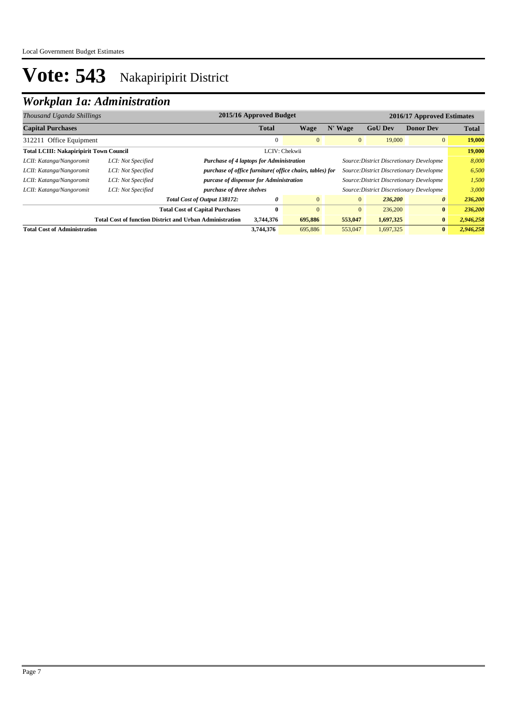## *Workplan 1a: Administration*

| Thousand Uganda Shillings                                       |                    | 2015/16 Approved Budget<br>2016/17 Approved Estimates           |                                                                                             |                |                |                                          |                       |              |
|-----------------------------------------------------------------|--------------------|-----------------------------------------------------------------|---------------------------------------------------------------------------------------------|----------------|----------------|------------------------------------------|-----------------------|--------------|
| <b>Capital Purchases</b>                                        |                    |                                                                 | <b>Total</b>                                                                                | Wage           | N' Wage        | <b>GoU</b> Dev                           | <b>Donor Dev</b>      | <b>Total</b> |
| 312211 Office Equipment                                         |                    |                                                                 | $\mathbf{0}$                                                                                | $\Omega$       | $\overline{0}$ | 19,000                                   | $\overline{0}$        | 19,000       |
| <b>Total LCIII: Nakapiripirit Town Council</b><br>LCIV: Chekwii |                    |                                                                 |                                                                                             | 19,000         |                |                                          |                       |              |
| LCII: Katanga/Nangoromit                                        | LCI: Not Specified |                                                                 | <b>Purchase of 4 laptops for Administration</b><br>Source: District Discretionary Developme |                |                |                                          | 8,000                 |              |
| LCII: Katanga/Nangoromit                                        | LCI: Not Specified | <i>purchase of office furniture( office chairs, tables) for</i> |                                                                                             |                |                | Source: District Discretionary Developme |                       | 6,500        |
| LCII: Katanga/Nangoromit                                        | LCI: Not Specified | purcase of dispensor for Administration                         |                                                                                             |                |                | Source: District Discretionary Developme |                       | 1,500        |
| LCII: Katanga/Nangoromit                                        | LCI: Not Specified | purchase of three shelves                                       |                                                                                             |                |                | Source: District Discretionary Developme |                       | 3,000        |
|                                                                 |                    | Total Cost of Output 138172:                                    | 0                                                                                           | $\overline{0}$ | $\mathbf{0}$   | 236,200                                  | $\boldsymbol{\theta}$ | 236,200      |
|                                                                 |                    | <b>Total Cost of Capital Purchases</b>                          | $\mathbf{0}$                                                                                | $\overline{0}$ | $\overline{0}$ | 236,200                                  | $\bf{0}$              | 236,200      |
|                                                                 |                    | <b>Total Cost of function District and Urban Administration</b> | 3,744,376                                                                                   | 695,886        | 553,047        | 1,697,325                                | $\mathbf{0}$          | 2,946,258    |
| <b>Total Cost of Administration</b>                             |                    |                                                                 | 3,744,376                                                                                   | 695,886        | 553,047        | 1,697,325                                | $\bf{0}$              | 2,946,258    |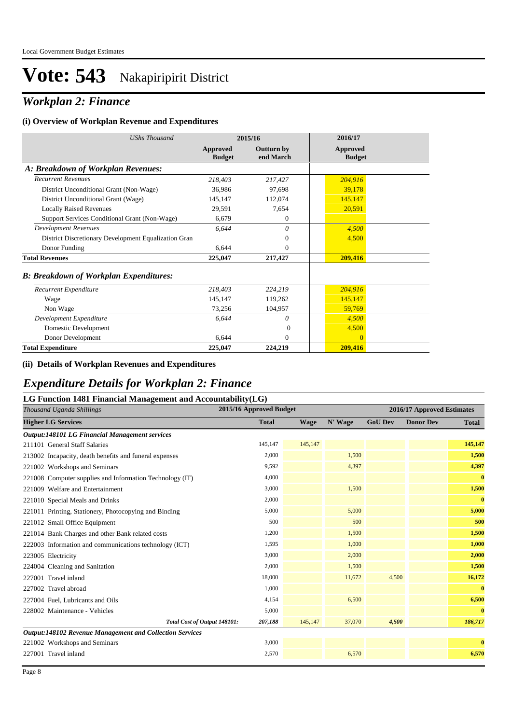## *Workplan 2: Finance*

#### **(i) Overview of Workplan Revenue and Expenditures**

| <b>UShs Thousand</b>                                 |                           | 2015/16                        | 2016/17                          |  |
|------------------------------------------------------|---------------------------|--------------------------------|----------------------------------|--|
|                                                      | Approved<br><b>Budget</b> | <b>Outturn by</b><br>end March | <b>Approved</b><br><b>Budget</b> |  |
| A: Breakdown of Workplan Revenues:                   |                           |                                |                                  |  |
| <b>Recurrent Revenues</b>                            | 218,403                   | 217,427                        | 204,916                          |  |
| District Unconditional Grant (Non-Wage)              | 36,986                    | 97,698                         | 39,178                           |  |
| District Unconditional Grant (Wage)                  | 145,147                   | 112,074                        | 145,147                          |  |
| <b>Locally Raised Revenues</b>                       | 29,591                    | 7,654                          | 20,591                           |  |
| Support Services Conditional Grant (Non-Wage)        | 6,679                     | $\mathbf{0}$                   |                                  |  |
| <b>Development Revenues</b>                          | 6.644                     | 0                              | 4,500                            |  |
| District Discretionary Development Equalization Gran |                           | $\overline{0}$                 | 4,500                            |  |
| Donor Funding                                        | 6.644                     | $\mathbf{0}$                   |                                  |  |
| <b>Total Revenues</b>                                | 225,047                   | 217,427                        | 209,416                          |  |
| <b>B: Breakdown of Workplan Expenditures:</b>        |                           |                                |                                  |  |
| Recurrent Expenditure                                | 218,403                   | 224,219                        | 204,916                          |  |
| Wage                                                 | 145,147                   | 119,262                        | 145,147                          |  |
| Non Wage                                             | 73,256                    | 104,957                        | 59,769                           |  |
| Development Expenditure                              | 6,644                     | 0                              | 4,500                            |  |
| Domestic Development                                 |                           | $\Omega$                       | 4,500                            |  |
| Donor Development                                    | 6,644                     | 0                              | $\mathbf{0}$                     |  |
| <b>Total Expenditure</b>                             | 225,047                   | 224,219                        | 209,416                          |  |

#### **(ii) Details of Workplan Revenues and Expenditures**

### *Expenditure Details for Workplan 2: Finance*

#### **LG Function 1481 Financial Management and Accountability(LG)**

| Thousand Uganda Shillings                                       | 2015/16 Approved Budget |             |         | 2016/17 Approved Estimates |                  |              |  |
|-----------------------------------------------------------------|-------------------------|-------------|---------|----------------------------|------------------|--------------|--|
| <b>Higher LG Services</b>                                       | <b>Total</b>            | <b>Wage</b> | N' Wage | <b>GoU Dev</b>             | <b>Donor Dev</b> | <b>Total</b> |  |
| Output:148101 LG Financial Management services                  |                         |             |         |                            |                  |              |  |
| 211101 General Staff Salaries                                   | 145,147                 | 145,147     |         |                            |                  | 145,147      |  |
| 213002 Incapacity, death benefits and funeral expenses          | 2,000                   |             | 1,500   |                            |                  | 1,500        |  |
| 221002 Workshops and Seminars                                   | 9,592                   |             | 4,397   |                            |                  | 4,397        |  |
| 221008 Computer supplies and Information Technology (IT)        | 4,000                   |             |         |                            |                  | $\bf{0}$     |  |
| 221009 Welfare and Entertainment                                | 3,000                   |             | 1,500   |                            |                  | 1,500        |  |
| 221010 Special Meals and Drinks                                 | 2,000                   |             |         |                            |                  | $\bf{0}$     |  |
| 221011 Printing, Stationery, Photocopying and Binding           | 5,000                   |             | 5,000   |                            |                  | 5,000        |  |
| 221012 Small Office Equipment                                   | 500                     |             | 500     |                            |                  | 500          |  |
| 221014 Bank Charges and other Bank related costs                | 1,200                   |             | 1,500   |                            |                  | 1,500        |  |
| 222003 Information and communications technology (ICT)          | 1,595                   |             | 1,000   |                            |                  | 1,000        |  |
| 223005 Electricity                                              | 3,000                   |             | 2,000   |                            |                  | 2,000        |  |
| 224004 Cleaning and Sanitation                                  | 2,000                   |             | 1,500   |                            |                  | 1,500        |  |
| 227001 Travel inland                                            | 18,000                  |             | 11,672  | 4,500                      |                  | 16,172       |  |
| 227002 Travel abroad                                            | 1,000                   |             |         |                            |                  | $\mathbf{0}$ |  |
| 227004 Fuel, Lubricants and Oils                                | 4,154                   |             | 6,500   |                            |                  | 6,500        |  |
| 228002 Maintenance - Vehicles                                   | 5,000                   |             |         |                            |                  | $\bf{0}$     |  |
| Total Cost of Output 148101:                                    | 207,188                 | 145,147     | 37,070  | 4,500                      |                  | 186,717      |  |
| <b>Output:148102 Revenue Management and Collection Services</b> |                         |             |         |                            |                  |              |  |
| 221002 Workshops and Seminars                                   | 3,000                   |             |         |                            |                  | $\bf{0}$     |  |
| 227001 Travel inland                                            | 2,570                   |             | 6,570   |                            |                  | 6,570        |  |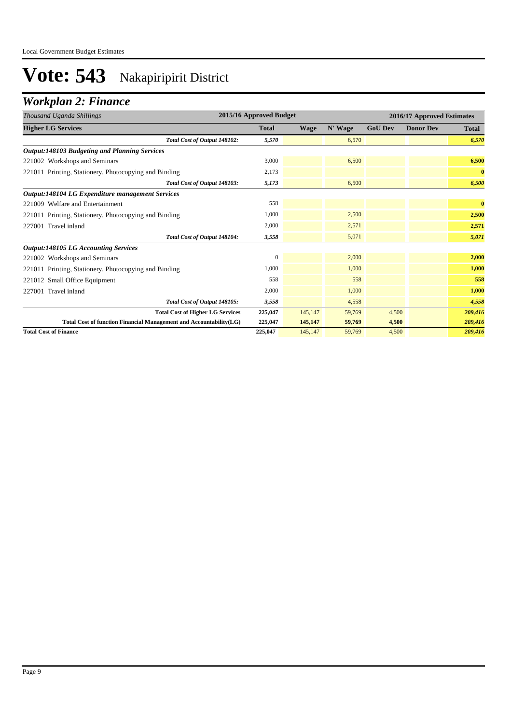## *Workplan 2: Finance*

| Thousand Uganda Shillings                                          | 2015/16 Approved Budget |         |         | 2016/17 Approved Estimates |                  |              |  |
|--------------------------------------------------------------------|-------------------------|---------|---------|----------------------------|------------------|--------------|--|
| <b>Higher LG Services</b>                                          | <b>Total</b>            | Wage    | N' Wage | <b>GoU Dev</b>             | <b>Donor Dev</b> | <b>Total</b> |  |
| Total Cost of Output 148102:                                       | 5.570                   |         | 6,570   |                            |                  | 6,570        |  |
| <b>Output:148103 Budgeting and Planning Services</b>               |                         |         |         |                            |                  |              |  |
| 221002 Workshops and Seminars                                      | 3,000                   |         | 6,500   |                            |                  | 6,500        |  |
| 221011 Printing, Stationery, Photocopying and Binding              | 2,173                   |         |         |                            |                  | $\bf{0}$     |  |
| Total Cost of Output 148103:                                       | 5,173                   |         | 6,500   |                            |                  | 6,500        |  |
| Output:148104 LG Expenditure management Services                   |                         |         |         |                            |                  |              |  |
| 221009 Welfare and Entertainment                                   | 558                     |         |         |                            |                  | $\bf{0}$     |  |
| 221011 Printing, Stationery, Photocopying and Binding              | 1,000                   |         | 2,500   |                            |                  | 2,500        |  |
| 227001 Travel inland                                               | 2,000                   |         | 2,571   |                            |                  | 2,571        |  |
| Total Cost of Output 148104:                                       | 3,558                   |         | 5,071   |                            |                  | 5,071        |  |
| <b>Output:148105 LG Accounting Services</b>                        |                         |         |         |                            |                  |              |  |
| 221002 Workshops and Seminars                                      | $\mathbf{0}$            |         | 2,000   |                            |                  | 2,000        |  |
| 221011 Printing, Stationery, Photocopying and Binding              | 1,000                   |         | 1,000   |                            |                  | 1,000        |  |
| 221012 Small Office Equipment                                      | 558                     |         | 558     |                            |                  | 558          |  |
| 227001 Travel inland                                               | 2,000                   |         | 1,000   |                            |                  | 1,000        |  |
| Total Cost of Output 148105:                                       | 3,558                   |         | 4,558   |                            |                  | 4,558        |  |
| <b>Total Cost of Higher LG Services</b>                            | 225,047                 | 145,147 | 59,769  | 4,500                      |                  | 209,416      |  |
| Total Cost of function Financial Management and Accountability(LG) | 225,047                 | 145,147 | 59,769  | 4,500                      |                  | 209,416      |  |
| <b>Total Cost of Finance</b>                                       | 225,047                 | 145,147 | 59,769  | 4,500                      |                  | 209,416      |  |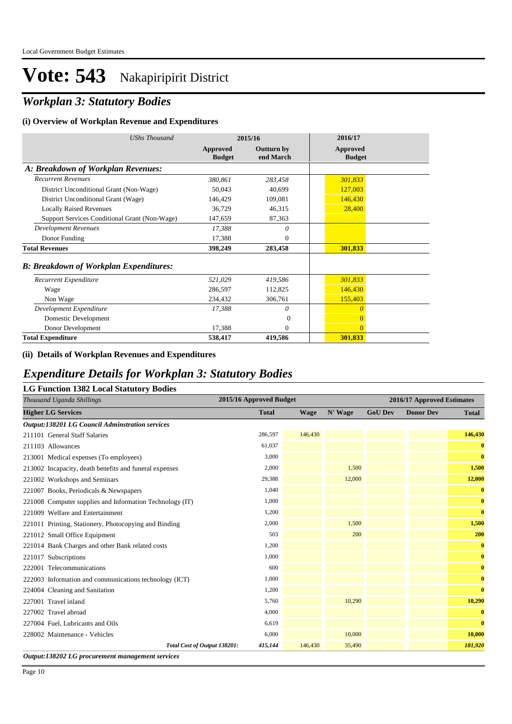## *Workplan 3: Statutory Bodies*

#### **(i) Overview of Workplan Revenue and Expenditures**

| <b>UShs Thousand</b>                          |                           | 2015/16                 | 2016/17                          |  |
|-----------------------------------------------|---------------------------|-------------------------|----------------------------------|--|
|                                               | Approved<br><b>Budget</b> | Outturn by<br>end March | <b>Approved</b><br><b>Budget</b> |  |
| A: Breakdown of Workplan Revenues:            |                           |                         |                                  |  |
| <b>Recurrent Revenues</b>                     | 380,861                   | 283,458                 | 301,833                          |  |
| District Unconditional Grant (Non-Wage)       | 50,043                    | 40.699                  | 127,003                          |  |
| District Unconditional Grant (Wage)           | 146,429                   | 109,081                 | 146,430                          |  |
| <b>Locally Raised Revenues</b>                | 36,729                    | 46,315                  | 28,400                           |  |
| Support Services Conditional Grant (Non-Wage) | 147,659                   | 87,363                  |                                  |  |
| <b>Development Revenues</b>                   | 17,388                    | 0                       |                                  |  |
| Donor Funding                                 | 17,388                    | $\mathbf{0}$            |                                  |  |
| <b>Total Revenues</b>                         | 398,249                   | 283,458                 | 301,833                          |  |
| <b>B: Breakdown of Workplan Expenditures:</b> |                           |                         |                                  |  |
| Recurrent Expenditure                         | 521,029                   | 419,586                 | 301,833                          |  |
| Wage                                          | 286,597                   | 112,825                 | 146,430                          |  |
| Non Wage                                      | 234,432                   | 306,761                 | 155,403                          |  |
| Development Expenditure                       | 17,388                    | 0                       | $\theta$                         |  |
| Domestic Development                          |                           | $\overline{0}$          | $\overline{0}$                   |  |
| Donor Development                             | 17,388                    | 0                       | $\Omega$                         |  |
| <b>Total Expenditure</b>                      | 538,417                   | 419,586                 | 301,833                          |  |

#### **(ii) Details of Workplan Revenues and Expenditures**

### *Expenditure Details for Workplan 3: Statutory Bodies*

| Thousand Uganda Shillings                                | 2015/16 Approved Budget |         |         | 2016/17 Approved Estimates |                  |              |  |
|----------------------------------------------------------|-------------------------|---------|---------|----------------------------|------------------|--------------|--|
| <b>Higher LG Services</b>                                | <b>Total</b>            | Wage    | N' Wage | <b>GoU Dev</b>             | <b>Donor Dev</b> | <b>Total</b> |  |
| <b>Output:138201 LG Council Adminstration services</b>   |                         |         |         |                            |                  |              |  |
| 211101 General Staff Salaries                            | 286,597                 | 146,430 |         |                            |                  | 146,430      |  |
| 211103 Allowances                                        | 61,037                  |         |         |                            |                  | $\bf{0}$     |  |
| 213001 Medical expenses (To employees)                   | 3,000                   |         |         |                            |                  | $\bf{0}$     |  |
| 213002 Incapacity, death benefits and funeral expenses   | 2,000                   |         | 1,500   |                            |                  | 1,500        |  |
| 221002 Workshops and Seminars                            | 29,388                  |         | 12,000  |                            |                  | 12,000       |  |
| 221007 Books, Periodicals & Newspapers                   | 1,040                   |         |         |                            |                  | $\bf{0}$     |  |
| 221008 Computer supplies and Information Technology (IT) | 1,000                   |         |         |                            |                  | $\bf{0}$     |  |
| 221009 Welfare and Entertainment                         | 1,200                   |         |         |                            |                  | $\bf{0}$     |  |
| 221011 Printing, Stationery, Photocopying and Binding    | 2,000                   |         | 1.500   |                            |                  | 1,500        |  |
| 221012 Small Office Equipment                            | 503                     |         | 200     |                            |                  | 200          |  |
| 221014 Bank Charges and other Bank related costs         | 1,200                   |         |         |                            |                  | $\bf{0}$     |  |
| 221017 Subscriptions                                     | 1,000                   |         |         |                            |                  | $\bf{0}$     |  |
| 222001 Telecommunications                                | 600                     |         |         |                            |                  | $\bf{0}$     |  |
| 222003 Information and communications technology (ICT)   | 1,000                   |         |         |                            |                  | $\bf{0}$     |  |
| 224004 Cleaning and Sanitation                           | 1,200                   |         |         |                            |                  | $\bf{0}$     |  |
| 227001 Travel inland                                     | 5,760                   |         | 10,290  |                            |                  | 10,290       |  |
| 227002 Travel abroad                                     | 4,000                   |         |         |                            |                  | $\bf{0}$     |  |
| 227004 Fuel, Lubricants and Oils                         | 6,619                   |         |         |                            |                  | $\bf{0}$     |  |
| 228002 Maintenance - Vehicles                            | 6,000                   |         | 10,000  |                            |                  | 10,000       |  |
| Total Cost of Output 138201:                             | 415,144                 | 146,430 | 35,490  |                            |                  | 181,920      |  |

*Output:138202 LG procurement management services*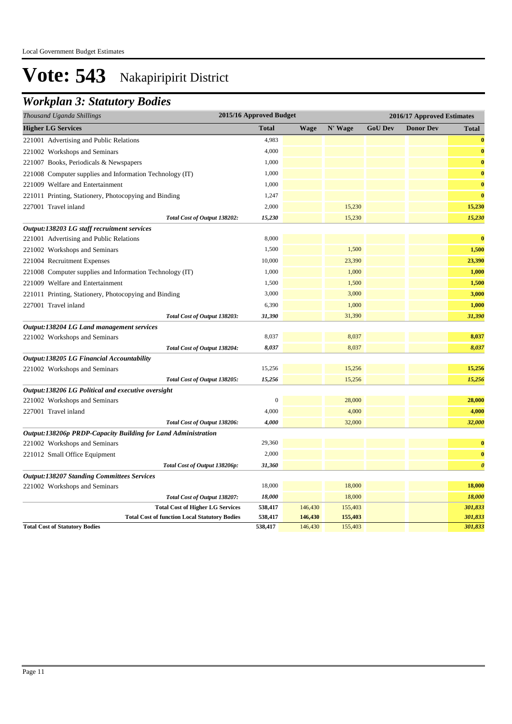## *Workplan 3: Statutory Bodies*

| Thousand Uganda Shillings                                                                     | 2015/16 Approved Budget |                    |                    | 2016/17 Approved Estimates |                  |                       |  |
|-----------------------------------------------------------------------------------------------|-------------------------|--------------------|--------------------|----------------------------|------------------|-----------------------|--|
| <b>Higher LG Services</b>                                                                     | <b>Total</b>            | <b>Wage</b>        | N' Wage            | <b>GoU Dev</b>             | <b>Donor Dev</b> | <b>Total</b>          |  |
| 221001 Advertising and Public Relations                                                       | 4,983                   |                    |                    |                            |                  | $\bf{0}$              |  |
| 221002 Workshops and Seminars                                                                 | 4,000                   |                    |                    |                            |                  | $\bf{0}$              |  |
| 221007 Books, Periodicals & Newspapers                                                        | 1,000                   |                    |                    |                            |                  | $\bf{0}$              |  |
| 221008 Computer supplies and Information Technology (IT)                                      | 1,000                   |                    |                    |                            |                  | $\bf{0}$              |  |
| 221009 Welfare and Entertainment                                                              | 1,000                   |                    |                    |                            |                  | $\bf{0}$              |  |
| 221011 Printing, Stationery, Photocopying and Binding                                         | 1,247                   |                    |                    |                            |                  | $\bf{0}$              |  |
| 227001 Travel inland                                                                          | 2,000                   |                    | 15,230             |                            |                  | 15,230                |  |
| Total Cost of Output 138202:                                                                  | 15,230                  |                    | 15,230             |                            |                  | 15,230                |  |
| Output:138203 LG staff recruitment services                                                   |                         |                    |                    |                            |                  |                       |  |
| 221001 Advertising and Public Relations                                                       | 8,000                   |                    |                    |                            |                  | $\bf{0}$              |  |
| 221002 Workshops and Seminars                                                                 | 1,500                   |                    | 1,500              |                            |                  | 1,500                 |  |
| 221004 Recruitment Expenses                                                                   | 10,000                  |                    | 23,390             |                            |                  | 23,390                |  |
| 221008 Computer supplies and Information Technology (IT)                                      | 1,000                   |                    | 1,000              |                            |                  | 1,000                 |  |
| 221009 Welfare and Entertainment                                                              | 1,500                   |                    | 1,500              |                            |                  | 1,500                 |  |
| 221011 Printing, Stationery, Photocopying and Binding                                         | 3,000                   |                    | 3,000              |                            |                  | 3,000                 |  |
| 227001 Travel inland                                                                          | 6,390                   |                    | 1,000              |                            |                  | 1,000                 |  |
| Total Cost of Output 138203:                                                                  | 31,390                  |                    | 31,390             |                            |                  | 31,390                |  |
| Output:138204 LG Land management services                                                     |                         |                    |                    |                            |                  |                       |  |
| 221002 Workshops and Seminars                                                                 | 8,037                   |                    | 8,037              |                            |                  | 8,037                 |  |
| Total Cost of Output 138204:                                                                  | 8,037                   |                    | 8,037              |                            |                  | 8,037                 |  |
| Output:138205 LG Financial Accountability                                                     |                         |                    |                    |                            |                  |                       |  |
| 221002 Workshops and Seminars                                                                 | 15,256                  |                    | 15,256             |                            |                  | 15,256                |  |
| Total Cost of Output 138205:                                                                  | 15,256                  |                    | 15,256             |                            |                  | 15,256                |  |
| Output:138206 LG Political and executive oversight                                            |                         |                    |                    |                            |                  |                       |  |
| 221002 Workshops and Seminars                                                                 | $\boldsymbol{0}$        |                    | 28,000             |                            |                  | 28,000                |  |
| 227001 Travel inland                                                                          | 4,000                   |                    | 4,000              |                            |                  | 4,000                 |  |
| Total Cost of Output 138206:                                                                  | 4,000                   |                    | 32,000             |                            |                  | 32,000                |  |
| Output:138206p PRDP-Capacity Building for Land Administration                                 |                         |                    |                    |                            |                  |                       |  |
| 221002 Workshops and Seminars                                                                 | 29,360                  |                    |                    |                            |                  | $\bf{0}$              |  |
| 221012 Small Office Equipment                                                                 | 2,000                   |                    |                    |                            |                  | $\bf{0}$              |  |
| Total Cost of Output 138206p:                                                                 | 31,360                  |                    |                    |                            |                  | $\boldsymbol{\theta}$ |  |
| <b>Output:138207 Standing Committees Services</b>                                             |                         |                    |                    |                            |                  |                       |  |
| 221002 Workshops and Seminars                                                                 | 18,000                  |                    | 18,000             |                            |                  | 18,000                |  |
| Total Cost of Output 138207:                                                                  | 18,000                  |                    | 18,000             |                            |                  | 18,000                |  |
| <b>Total Cost of Higher LG Services</b>                                                       | 538,417<br>538,417      | 146,430<br>146,430 | 155,403<br>155,403 |                            |                  | 301,833<br>301,833    |  |
| <b>Total Cost of function Local Statutory Bodies</b><br><b>Total Cost of Statutory Bodies</b> | 538,417                 | 146,430            | 155,403            |                            |                  | 301,833               |  |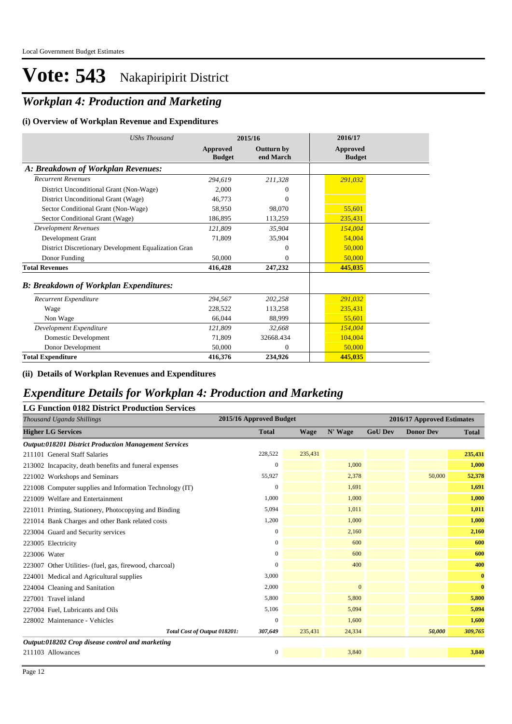## *Workplan 4: Production and Marketing*

#### **(i) Overview of Workplan Revenue and Expenditures**

| <b>UShs Thousand</b>                                 |                           | 2015/16                        | 2016/17                          |
|------------------------------------------------------|---------------------------|--------------------------------|----------------------------------|
|                                                      | Approved<br><b>Budget</b> | <b>Outturn by</b><br>end March | <b>Approved</b><br><b>Budget</b> |
| A: Breakdown of Workplan Revenues:                   |                           |                                |                                  |
| <b>Recurrent Revenues</b>                            | 294,619                   | 211,328                        | 291,032                          |
| District Unconditional Grant (Non-Wage)              | 2.000                     | $\Omega$                       |                                  |
| District Unconditional Grant (Wage)                  | 46,773                    | $\Omega$                       |                                  |
| Sector Conditional Grant (Non-Wage)                  | 58,950                    | 98,070                         | 55,601                           |
| Sector Conditional Grant (Wage)                      | 186,895                   | 113,259                        | 235,431                          |
| <b>Development Revenues</b>                          | 121,809                   | 35,904                         | 154,004                          |
| Development Grant                                    | 71,809                    | 35,904                         | 54,004                           |
| District Discretionary Development Equalization Gran |                           | $\theta$                       | 50,000                           |
| Donor Funding                                        | 50,000                    | $\Omega$                       | 50,000                           |
| <b>Total Revenues</b>                                | 416,428                   | 247,232                        | 445,035                          |
| <b>B: Breakdown of Workplan Expenditures:</b>        |                           |                                |                                  |
| Recurrent Expenditure                                | 294,567                   | 202,258                        | 291.032                          |
| Wage                                                 | 228,522                   | 113,258                        | 235,431                          |
| Non Wage                                             | 66,044                    | 88,999                         | 55,601                           |
| Development Expenditure                              | 121,809                   | 32,668                         | 154,004                          |
| Domestic Development                                 | 71.809                    | 32668.434                      | 104,004                          |
| Donor Development                                    | 50,000                    | $\theta$                       | 50,000                           |
| <b>Total Expenditure</b>                             | 416,376                   | 234,926                        | 445,035                          |

#### **(ii) Details of Workplan Revenues and Expenditures**

### *Expenditure Details for Workplan 4: Production and Marketing*

| Thousand Uganda Shillings                                    | 2015/16 Approved Budget |             |              |                | 2016/17 Approved Estimates |              |
|--------------------------------------------------------------|-------------------------|-------------|--------------|----------------|----------------------------|--------------|
| <b>Higher LG Services</b>                                    | <b>Total</b>            | <b>Wage</b> | N' Wage      | <b>GoU Dev</b> | <b>Donor Dev</b>           | <b>Total</b> |
| <b>Output:018201 District Production Management Services</b> |                         |             |              |                |                            |              |
| 211101 General Staff Salaries                                | 228,522                 | 235,431     |              |                |                            | 235,431      |
| 213002 Incapacity, death benefits and funeral expenses       | $\mathbf{0}$            |             | 1,000        |                |                            | 1,000        |
| 221002 Workshops and Seminars                                | 55,927                  |             | 2,378        |                | 50,000                     | 52,378       |
| 221008 Computer supplies and Information Technology (IT)     | $\mathbf{0}$            |             | 1,691        |                |                            | 1,691        |
| 221009 Welfare and Entertainment                             | 1,000                   |             | 1,000        |                |                            | 1,000        |
| 221011 Printing, Stationery, Photocopying and Binding        | 5,094                   |             | 1,011        |                |                            | 1,011        |
| 221014 Bank Charges and other Bank related costs             | 1,200                   |             | 1,000        |                |                            | 1,000        |
| 223004 Guard and Security services                           | $\Omega$                |             | 2,160        |                |                            | 2,160        |
| 223005 Electricity                                           | 0                       |             | 600          |                |                            | 600          |
| 223006 Water                                                 | $\mathbf{0}$            |             | 600          |                |                            | 600          |
| 223007 Other Utilities- (fuel, gas, firewood, charcoal)      | $\Omega$                |             | 400          |                |                            | 400          |
| 224001 Medical and Agricultural supplies                     | 3,000                   |             |              |                |                            | $\bf{0}$     |
| 224004 Cleaning and Sanitation                               | 2,000                   |             | $\mathbf{0}$ |                |                            | $\bf{0}$     |
| 227001 Travel inland                                         | 5,800                   |             | 5,800        |                |                            | 5,800        |
| 227004 Fuel, Lubricants and Oils                             | 5,106                   |             | 5,094        |                |                            | 5,094        |
| 228002 Maintenance - Vehicles                                | $\Omega$                |             | 1,600        |                |                            | 1,600        |
| Total Cost of Output 018201:                                 | 307,649                 | 235,431     | 24,334       |                | 50,000                     | 309,765      |
| Output:018202 Crop disease control and marketing             |                         |             |              |                |                            |              |
| 211103 Allowances                                            | $\boldsymbol{0}$        |             | 3,840        |                |                            | 3,840        |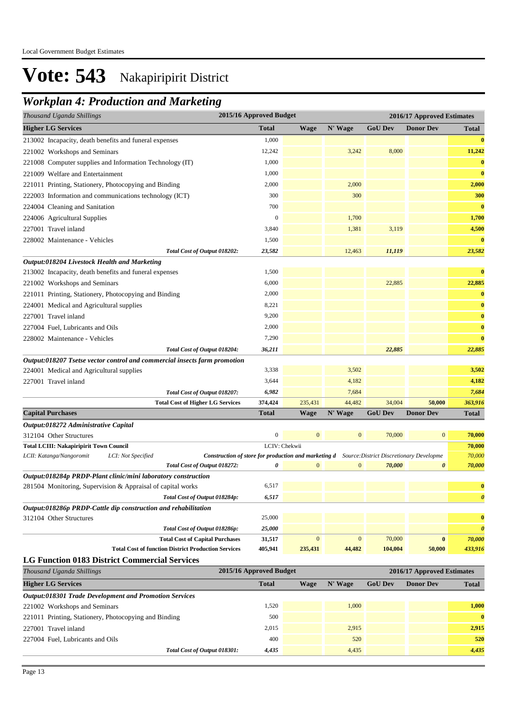## *Workplan 4: Production and Marketing*

| Thousand Uganda Shillings                                                      | 2015/16 Approved Budget                                                                                   |               |                  |                | 2016/17 Approved Estimates |                       |
|--------------------------------------------------------------------------------|-----------------------------------------------------------------------------------------------------------|---------------|------------------|----------------|----------------------------|-----------------------|
| <b>Higher LG Services</b>                                                      | <b>Total</b>                                                                                              | <b>Wage</b>   | N' Wage          | <b>GoU Dev</b> | <b>Donor Dev</b>           | <b>Total</b>          |
| 213002 Incapacity, death benefits and funeral expenses                         | 1,000                                                                                                     |               |                  |                |                            | $\bf{0}$              |
| 221002 Workshops and Seminars                                                  | 12,242                                                                                                    |               | 3,242            | 8,000          |                            | 11,242                |
| 221008 Computer supplies and Information Technology (IT)                       | 1,000                                                                                                     |               |                  |                |                            | $\bf{0}$              |
| 221009 Welfare and Entertainment                                               | 1,000                                                                                                     |               |                  |                |                            | $\bf{0}$              |
| 221011 Printing, Stationery, Photocopying and Binding                          | 2,000                                                                                                     |               | 2,000            |                |                            | 2,000                 |
| 222003 Information and communications technology (ICT)                         | 300                                                                                                       |               | 300              |                |                            | 300                   |
| 224004 Cleaning and Sanitation                                                 | 700                                                                                                       |               |                  |                |                            | $\bf{0}$              |
| 224006 Agricultural Supplies                                                   | $\boldsymbol{0}$                                                                                          |               | 1,700            |                |                            | 1,700                 |
| 227001 Travel inland                                                           | 3,840                                                                                                     |               | 1,381            | 3,119          |                            | 4,500                 |
| 228002 Maintenance - Vehicles                                                  | 1,500                                                                                                     |               |                  |                |                            | $\bf{0}$              |
| Total Cost of Output 018202:                                                   | 23,582                                                                                                    |               | 12,463           | 11,119         |                            | 23,582                |
| Output:018204 Livestock Health and Marketing                                   |                                                                                                           |               |                  |                |                            |                       |
| 213002 Incapacity, death benefits and funeral expenses                         | 1,500                                                                                                     |               |                  |                |                            | $\bf{0}$              |
| 221002 Workshops and Seminars                                                  | 6,000                                                                                                     |               |                  | 22,885         |                            | 22,885                |
| 221011 Printing, Stationery, Photocopying and Binding                          | 2,000                                                                                                     |               |                  |                |                            | $\bf{0}$              |
| 224001 Medical and Agricultural supplies                                       | 8,221                                                                                                     |               |                  |                |                            | $\bf{0}$              |
| 227001 Travel inland                                                           | 9,200                                                                                                     |               |                  |                |                            | $\bf{0}$              |
| 227004 Fuel, Lubricants and Oils                                               | 2,000                                                                                                     |               |                  |                |                            | $\bf{0}$              |
| 228002 Maintenance - Vehicles                                                  | 7,290                                                                                                     |               |                  |                |                            | $\bf{0}$              |
| Total Cost of Output 018204:                                                   | 36,211                                                                                                    |               |                  | 22,885         |                            | 22,885                |
| Output:018207 Tsetse vector control and commercial insects farm promotion      |                                                                                                           |               |                  |                |                            |                       |
| 224001 Medical and Agricultural supplies                                       | 3,338                                                                                                     |               | 3,502            |                |                            | 3,502                 |
| 227001 Travel inland                                                           | 3,644                                                                                                     |               | 4,182            |                |                            | 4,182                 |
| Total Cost of Output 018207:                                                   | 6,982                                                                                                     |               | 7,684            |                |                            | 7,684                 |
| <b>Total Cost of Higher LG Services</b>                                        | 374,424                                                                                                   | 235,431       | 44,482           | 34,004         | 50,000                     | 363,916               |
| <b>Capital Purchases</b>                                                       | <b>Total</b>                                                                                              | <b>Wage</b>   | N' Wage          | <b>GoU Dev</b> | <b>Donor Dev</b>           | <b>Total</b>          |
| Output:018272 Administrative Capital                                           |                                                                                                           |               |                  |                |                            |                       |
| 312104 Other Structures                                                        | $\boldsymbol{0}$                                                                                          | $\mathbf{0}$  | $\boldsymbol{0}$ | 70,000         | $\bf{0}$                   | 70,000                |
| <b>Total LCIII: Nakapiripirit Town Council</b>                                 |                                                                                                           | LCIV: Chekwii |                  |                |                            | 70,000                |
| LCII: Katanga/Nangoromit<br>LCI: Not Specified<br>Total Cost of Output 018272: | <b>Construction of store for production and marketing d</b> Source: District Discretionary Developme<br>0 | $\mathbf{0}$  | $\boldsymbol{0}$ | 70,000         | 0                          | 70,000<br>70,000      |
| Output:018284p PRDP-Plant clinic/mini laboratory construction                  |                                                                                                           |               |                  |                |                            |                       |
| 281504 Monitoring, Supervision & Appraisal of capital works                    | 6,517                                                                                                     |               |                  |                |                            | $\bf{0}$              |
| Total Cost of Output 018284p:                                                  | 6,517                                                                                                     |               |                  |                |                            | $\boldsymbol{\theta}$ |
| Output:018286p PRDP-Cattle dip construction and rehabilitation                 |                                                                                                           |               |                  |                |                            |                       |
| 312104 Other Structures                                                        | 25,000                                                                                                    |               |                  |                |                            | $\bf{0}$              |
| Total Cost of Output 018286p:                                                  | 25,000                                                                                                    |               |                  |                |                            | $\boldsymbol{\theta}$ |
| <b>Total Cost of Capital Purchases</b>                                         | 31,517                                                                                                    | $\mathbf{0}$  | $\boldsymbol{0}$ | 70,000         | $\bf{0}$                   | 70,000                |
| <b>Total Cost of function District Production Services</b>                     | 405,941                                                                                                   | 235,431       | 44,482           | 104,004        | 50,000                     | 433,916               |
| <b>LG Function 0183 District Commercial Services</b>                           |                                                                                                           |               |                  |                |                            |                       |
| Thousand Uganda Shillings                                                      | 2015/16 Approved Budget                                                                                   |               |                  |                | 2016/17 Approved Estimates |                       |
| <b>Higher LG Services</b>                                                      | <b>Total</b>                                                                                              | <b>Wage</b>   | N' Wage          | <b>GoU Dev</b> | <b>Donor Dev</b>           | <b>Total</b>          |
| Output:018301 Trade Development and Promotion Services                         |                                                                                                           |               |                  |                |                            |                       |
| 221002 Workshops and Seminars                                                  | 1,520                                                                                                     |               | 1,000            |                |                            | 1,000                 |
| 221011 Printing, Stationery, Photocopying and Binding                          | 500                                                                                                       |               |                  |                |                            | $\bf{0}$              |
| 227001 Travel inland                                                           | 2,015                                                                                                     |               | 2,915            |                |                            | 2,915                 |
| 227004 Fuel, Lubricants and Oils                                               | 400                                                                                                       |               | 520              |                |                            | 520                   |
| Total Cost of Output 018301:                                                   | 4,435                                                                                                     |               | 4,435            |                |                            | 4,435                 |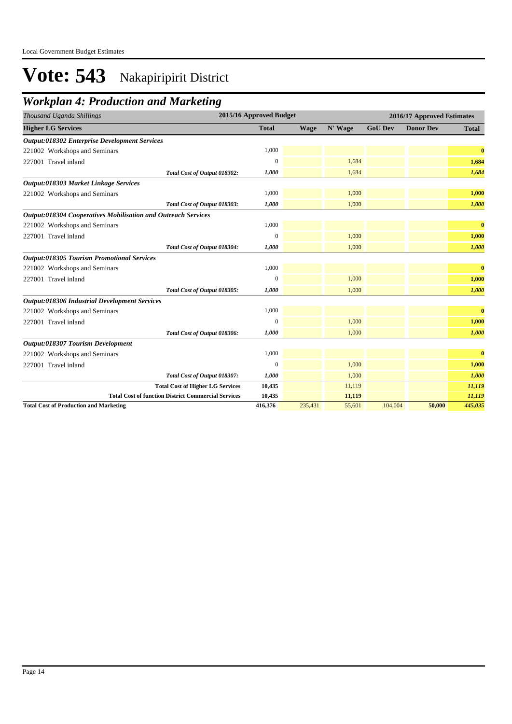## *Workplan 4: Production and Marketing*

| Thousand Uganda Shillings                                     | 2015/16 Approved Budget |             |         |                | 2016/17 Approved Estimates |              |
|---------------------------------------------------------------|-------------------------|-------------|---------|----------------|----------------------------|--------------|
| <b>Higher LG Services</b>                                     | <b>Total</b>            | <b>Wage</b> | N' Wage | <b>GoU Dev</b> | <b>Donor Dev</b>           | <b>Total</b> |
| <b>Output:018302 Enterprise Development Services</b>          |                         |             |         |                |                            |              |
| 221002 Workshops and Seminars                                 | 1,000                   |             |         |                |                            | $\bf{0}$     |
| 227001 Travel inland                                          | $\Omega$                |             | 1,684   |                |                            | 1,684        |
| Total Cost of Output 018302:                                  | 1,000                   |             | 1,684   |                |                            | 1,684        |
| Output:018303 Market Linkage Services                         |                         |             |         |                |                            |              |
| 221002 Workshops and Seminars                                 | 1,000                   |             | 1,000   |                |                            | 1,000        |
| Total Cost of Output 018303:                                  | 1,000                   |             | 1,000   |                |                            | 1,000        |
| Output:018304 Cooperatives Mobilisation and Outreach Services |                         |             |         |                |                            |              |
| 221002 Workshops and Seminars                                 | 1,000                   |             |         |                |                            | $\bf{0}$     |
| 227001 Travel inland                                          | $\mathbf{0}$            |             | 1,000   |                |                            | 1,000        |
| Total Cost of Output 018304:                                  | 1,000                   |             | 1,000   |                |                            | 1,000        |
| <b>Output:018305 Tourism Promotional Services</b>             |                         |             |         |                |                            |              |
| 221002 Workshops and Seminars                                 | 1,000                   |             |         |                |                            | $\bf{0}$     |
| 227001 Travel inland                                          | $\Omega$                |             | 1,000   |                |                            | 1,000        |
| Total Cost of Output 018305:                                  | 1,000                   |             | 1,000   |                |                            | 1,000        |
| Output:018306 Industrial Development Services                 |                         |             |         |                |                            |              |
| 221002 Workshops and Seminars                                 | 1,000                   |             |         |                |                            | $\bf{0}$     |
| 227001 Travel inland                                          | 0                       |             | 1,000   |                |                            | 1,000        |
| Total Cost of Output 018306:                                  | 1,000                   |             | 1,000   |                |                            | 1,000        |
| Output:018307 Tourism Development                             |                         |             |         |                |                            |              |
| 221002 Workshops and Seminars                                 | 1,000                   |             |         |                |                            | $\mathbf{0}$ |
| 227001 Travel inland                                          | $\overline{0}$          |             | 1,000   |                |                            | 1,000        |
| Total Cost of Output 018307:                                  | 1,000                   |             | 1,000   |                |                            | 1,000        |
| <b>Total Cost of Higher LG Services</b>                       | 10,435                  |             | 11,119  |                |                            | 11,119       |
| <b>Total Cost of function District Commercial Services</b>    | 10,435                  |             | 11,119  |                |                            | 11,119       |
| <b>Total Cost of Production and Marketing</b>                 | 416,376                 | 235,431     | 55,601  | 104,004        | 50,000                     | 445,035      |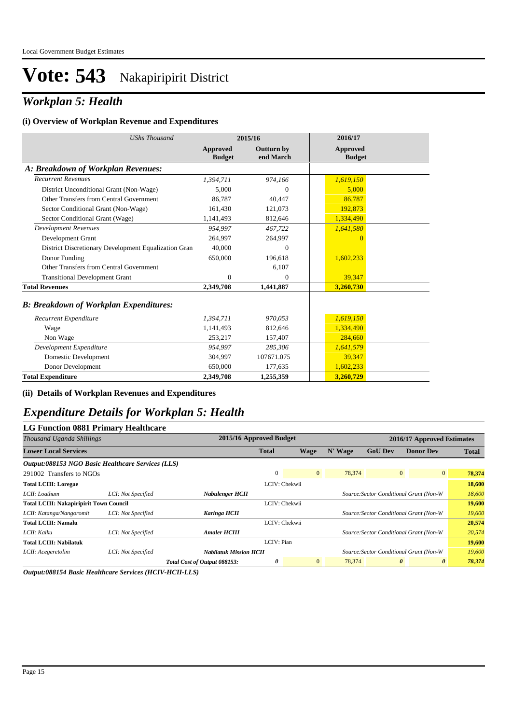## *Workplan 5: Health*

#### **(i) Overview of Workplan Revenue and Expenditures**

| <b>UShs Thousand</b>                                 | 2015/16                   |                                | 2016/17                          |
|------------------------------------------------------|---------------------------|--------------------------------|----------------------------------|
|                                                      | Approved<br><b>Budget</b> | <b>Outturn by</b><br>end March | <b>Approved</b><br><b>Budget</b> |
| A: Breakdown of Workplan Revenues:                   |                           |                                |                                  |
| <b>Recurrent Revenues</b>                            | 1,394,711                 | 974,166                        | 1,619,150                        |
| District Unconditional Grant (Non-Wage)              | 5.000                     | $\Omega$                       | 5.000                            |
| Other Transfers from Central Government              | 86,787                    | 40,447                         | 86,787                           |
| Sector Conditional Grant (Non-Wage)                  | 161,430                   | 121,073                        | 192,873                          |
| Sector Conditional Grant (Wage)                      | 1,141,493                 | 812,646                        | 1,334,490                        |
| <b>Development Revenues</b>                          | 954.997                   | 467.722                        | 1,641,580                        |
| Development Grant                                    | 264,997                   | 264,997                        |                                  |
| District Discretionary Development Equalization Gran | 40,000                    | $\Omega$                       |                                  |
| Donor Funding                                        | 650,000                   | 196,618                        | 1,602,233                        |
| Other Transfers from Central Government              |                           | 6,107                          |                                  |
| <b>Transitional Development Grant</b>                | $\Omega$                  | $\Omega$                       | 39,347                           |
| <b>Total Revenues</b>                                | 2,349,708                 | 1,441,887                      | 3,260,730                        |
| <b>B: Breakdown of Workplan Expenditures:</b>        |                           |                                |                                  |
| Recurrent Expenditure                                | 1,394,711                 | 970.053                        | 1,619,150                        |
| Wage                                                 | 1,141,493                 | 812.646                        | 1,334,490                        |
| Non Wage                                             | 253,217                   | 157,407                        | 284,660                          |
| Development Expenditure                              | 954.997                   | 285,306                        | 1,641,579                        |
| Domestic Development                                 | 304,997                   | 107671.075                     | 39,347                           |
| Donor Development                                    | 650,000                   | 177,635                        | 1,602,233                        |
| <b>Total Expenditure</b>                             | 2,349,708                 | 1,255,359                      | 3,260,729                        |

#### **(ii) Details of Workplan Revenues and Expenditures**

### *Expenditure Details for Workplan 5: Health*

#### **LG Function 0881 Primary Healthcare**

| Thousand Uganda Shillings                         |                    |                               | 2015/16 Approved Budget |                |         |                | 2016/17 Approved Estimates              |              |
|---------------------------------------------------|--------------------|-------------------------------|-------------------------|----------------|---------|----------------|-----------------------------------------|--------------|
| <b>Lower Local Services</b>                       |                    |                               | <b>Total</b>            | Wage           | N' Wage | <b>GoU Dev</b> | <b>Donor Dev</b>                        | <b>Total</b> |
| Output:088153 NGO Basic Healthcare Services (LLS) |                    |                               |                         |                |         |                |                                         |              |
| 291002 Transfers to NGOs                          |                    |                               | $\mathbf{0}$            | $\overline{0}$ | 78,374  |                | $\overline{0}$<br>$\overline{0}$        | 78,374       |
| <b>Total LCIII: Loregae</b>                       |                    |                               | LCIV: Chekwii           |                |         |                |                                         | 18,600       |
| LCII: Loatham                                     | LCI: Not Specified | Nabulenger HCII               |                         |                |         |                | Source: Sector Conditional Grant (Non-W | 18,600       |
| <b>Total LCIII: Nakapiripirit Town Council</b>    |                    |                               | LCIV: Chekwii           |                |         |                |                                         | 19,600       |
| LCII: Katanga/Nangoromit                          | LCI: Not Specified | <b>Karinga HCII</b>           |                         |                |         |                | Source: Sector Conditional Grant (Non-W | 19,600       |
| <b>Total LCIII: Namalu</b>                        |                    |                               | LCIV: Chekwii           |                |         |                |                                         | 20,574       |
| LCII: Kaiku                                       | LCI: Not Specified | <b>Amaler HCIII</b>           |                         |                |         |                | Source: Sector Conditional Grant (Non-W | 20,574       |
| <b>Total LCIII: Nabilatuk</b>                     |                    |                               | LCIV: Pian              |                |         |                |                                         | 19,600       |
| LCII: Acegeretolim                                | LCI: Not Specified | <b>Nabilatuk Mission HCII</b> |                         |                |         |                | Source: Sector Conditional Grant (Non-W | 19,600       |
|                                                   |                    | Total Cost of Output 088153:  | 0                       | $\overline{0}$ | 78,374  |                | $\boldsymbol{\theta}$<br>0              | 78,374       |

*Output:088154 Basic Healthcare Services (HCIV-HCII-LLS)*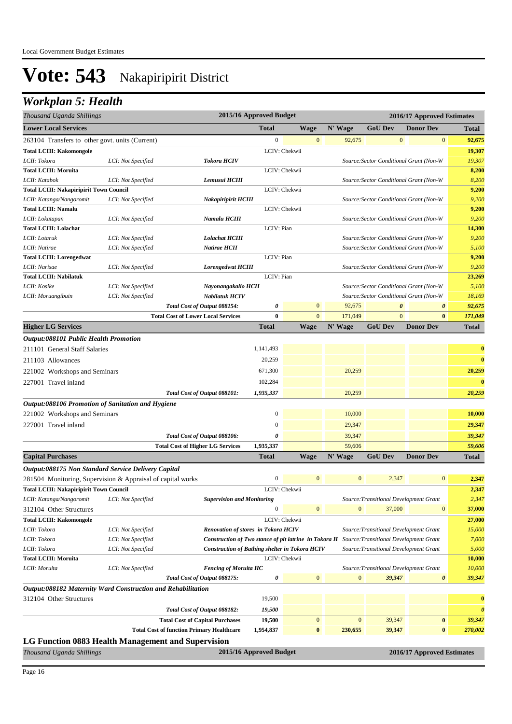## *Workplan 5: Health*

| Thousand Uganda Shillings                                    |                    |                                                       | 2015/16 Approved Budget |                |                  | 2016/17 Approved Estimates |                                         |                       |  |
|--------------------------------------------------------------|--------------------|-------------------------------------------------------|-------------------------|----------------|------------------|----------------------------|-----------------------------------------|-----------------------|--|
| <b>Lower Local Services</b>                                  |                    |                                                       | <b>Total</b>            | <b>Wage</b>    | N' Wage          | <b>GoU Dev</b>             | <b>Donor Dev</b>                        | <b>Total</b>          |  |
| 263104 Transfers to other govt. units (Current)              |                    |                                                       | $\boldsymbol{0}$        | $\mathbf{0}$   | 92,675           | $\mathbf{0}$               | $\mathbf{0}$                            | 92,675                |  |
| <b>Total LCIII: Kakomongole</b>                              |                    |                                                       |                         | LCIV: Chekwii  |                  |                            |                                         | 19,307                |  |
| LCII: Tokora                                                 | LCI: Not Specified | <b>Tokora HCIV</b>                                    |                         |                |                  |                            | Source: Sector Conditional Grant (Non-W | 19,307                |  |
| <b>Total LCIII: Moruita</b>                                  |                    |                                                       |                         | LCIV: Chekwii  |                  |                            |                                         | 8,200                 |  |
| LCII: Katabok                                                | LCI: Not Specified | Lemusui HCIII                                         |                         |                |                  |                            | Source: Sector Conditional Grant (Non-W | 8,200                 |  |
| <b>Total LCIII: Nakapiripirit Town Council</b>               |                    |                                                       |                         | LCIV: Chekwii  |                  |                            |                                         | 9,200                 |  |
| LCII: Katanga/Nangoromit                                     | LCI: Not Specified | Nakapiripirit HCIII                                   |                         |                |                  |                            | Source: Sector Conditional Grant (Non-W | 9,200                 |  |
| <b>Total LCIII: Namalu</b>                                   |                    |                                                       |                         | LCIV: Chekwii  |                  |                            |                                         | 9,200                 |  |
| LCII: Lokatapan                                              | LCI: Not Specified | Namalu HCIII                                          |                         |                |                  |                            | Source: Sector Conditional Grant (Non-W | 9,200                 |  |
| <b>Total LCIII: Lolachat</b>                                 |                    |                                                       | LCIV: Pian              |                |                  |                            |                                         | 14,300                |  |
| LCII: Lotaruk                                                | LCI: Not Specified | <b>Lolachat HCIII</b>                                 |                         |                |                  |                            | Source: Sector Conditional Grant (Non-W | 9,200                 |  |
| LCII: Natirae                                                | LCI: Not Specified | Natirae HCII                                          |                         |                |                  |                            | Source: Sector Conditional Grant (Non-W | 5,100                 |  |
| <b>Total LCIII: Lorengedwat</b>                              |                    |                                                       | LCIV: Pian              |                |                  |                            |                                         | 9,200                 |  |
| LCII: Narisae                                                | LCI: Not Specified | <b>Lorengedwat HCIII</b>                              |                         |                |                  |                            | Source: Sector Conditional Grant (Non-W | 9,200                 |  |
| <b>Total LCIII: Nabilatuk</b>                                |                    |                                                       | LCIV: Pian              |                |                  |                            |                                         | 23,269                |  |
| LCII: Kosike                                                 | LCI: Not Specified | Nayonangakalio HCII                                   |                         |                |                  |                            | Source: Sector Conditional Grant (Non-W | 5,100                 |  |
| LCII: Moruangibuin                                           | LCI: Not Specified | Nabilatuk HCIV                                        |                         |                |                  |                            | Source: Sector Conditional Grant (Non-W | 18,169                |  |
|                                                              |                    | Total Cost of Output 088154:                          | 0                       | $\mathbf{0}$   | 92,675           | $\boldsymbol{\theta}$      | $\boldsymbol{\theta}$                   | 92,675                |  |
|                                                              |                    | <b>Total Cost of Lower Local Services</b>             | $\bf{0}$                | $\overline{0}$ | 171,049          | $\overline{0}$             | $\bf{0}$                                | 171,049               |  |
| <b>Higher LG Services</b>                                    |                    |                                                       | <b>Total</b>            | Wage           | N' Wage          | <b>GoU Dev</b>             | <b>Donor Dev</b>                        | <b>Total</b>          |  |
| Output:088101 Public Health Promotion                        |                    |                                                       |                         |                |                  |                            |                                         |                       |  |
| 211101 General Staff Salaries                                |                    |                                                       | 1,141,493               |                |                  |                            |                                         | $\bf{0}$              |  |
| 211103 Allowances                                            |                    |                                                       | 20,259                  |                |                  |                            |                                         | $\bf{0}$              |  |
| 221002 Workshops and Seminars                                |                    |                                                       | 671,300                 |                | 20,259           |                            |                                         | 20,259                |  |
| 227001 Travel inland                                         |                    |                                                       | 102,284                 |                |                  |                            |                                         | $\mathbf{0}$          |  |
|                                                              |                    | Total Cost of Output 088101:                          | 1,935,337               |                | 20,259           |                            |                                         | 20,259                |  |
| Output:088106 Promotion of Sanitation and Hygiene            |                    |                                                       |                         |                |                  |                            |                                         |                       |  |
|                                                              |                    |                                                       | $\boldsymbol{0}$        |                | 10,000           |                            |                                         | 10,000                |  |
| 221002 Workshops and Seminars                                |                    |                                                       |                         |                |                  |                            |                                         |                       |  |
| 227001 Travel inland                                         |                    |                                                       | $\boldsymbol{0}$        |                | 29,347           |                            |                                         | 29,347                |  |
|                                                              |                    | Total Cost of Output 088106:                          | 0                       |                | 39,347           |                            |                                         | 39,347                |  |
|                                                              |                    | <b>Total Cost of Higher LG Services</b>               | 1,935,337               |                | 59,606           |                            |                                         | 59,606                |  |
| <b>Capital Purchases</b>                                     |                    |                                                       | <b>Total</b>            | <b>Wage</b>    | N' Wage          | <b>GoU Dev</b>             | <b>Donor Dev</b>                        | <b>Total</b>          |  |
| Output:088175 Non Standard Service Delivery Capital          |                    |                                                       |                         |                |                  |                            |                                         |                       |  |
| 281504 Monitoring, Supervision & Appraisal of capital works  |                    |                                                       | $\boldsymbol{0}$        | $\mathbf{0}$   | $\mathbf{0}$     | 2,347                      | $\mathbf{0}$                            | 2,347                 |  |
| <b>Total LCIII: Nakapiripirit Town Council</b>               |                    |                                                       |                         | LCIV: Chekwii  |                  |                            |                                         | 2,347                 |  |
| LCII: Katanga/Nangoromit                                     | LCI: Not Specified | <b>Supervision and Monitoring</b>                     |                         |                |                  |                            | Source: Transitional Development Grant  | 2,347                 |  |
| 312104 Other Structures                                      |                    |                                                       | $\Omega$                | $\mathbf{0}$   | $\mathbf{0}$     | 37,000                     | $\mathbf{0}$                            | 37,000                |  |
| <b>Total LCIII: Kakomongole</b>                              |                    |                                                       |                         | LCIV: Chekwii  |                  |                            |                                         | 27,000                |  |
| LCII: Tokora                                                 | LCI: Not Specified | <b>Renovation of stores in Tokora HCIV</b>            |                         |                |                  |                            | Source: Transitional Development Grant  | 15,000                |  |
| LCII: Tokora                                                 | LCI: Not Specified | Construction of Two stance of pit latrine in Tokora H |                         |                |                  |                            | Source: Transitional Development Grant  | 7,000                 |  |
| LCII: Tokora                                                 | LCI: Not Specified | <b>Construction of Bathing shelter in Tokora HCIV</b> |                         |                |                  |                            | Source: Transitional Development Grant  | 5,000                 |  |
| <b>Total LCIII: Moruita</b>                                  |                    |                                                       |                         | LCIV: Chekwii  |                  |                            |                                         | 10,000                |  |
| LCII: Moruita                                                | LCI: Not Specified | <b>Fencing of Moruita HC</b>                          |                         |                |                  |                            | Source: Transitional Development Grant  | 10,000                |  |
|                                                              |                    | Total Cost of Output 088175:                          | 0                       | $\mathbf{0}$   | $\mathbf{0}$     | 39,347                     | $\boldsymbol{\theta}$                   | 39,347                |  |
| Output:088182 Maternity Ward Construction and Rehabilitation |                    |                                                       |                         |                |                  |                            |                                         |                       |  |
| 312104 Other Structures                                      |                    |                                                       | 19,500                  |                |                  |                            |                                         | $\bf{0}$              |  |
|                                                              |                    | Total Cost of Output 088182:                          | 19,500                  |                |                  |                            |                                         | $\boldsymbol{\theta}$ |  |
|                                                              |                    | <b>Total Cost of Capital Purchases</b>                | 19,500                  | $\mathbf{0}$   | $\boldsymbol{0}$ | 39,347                     | $\bf{0}$                                | 39,347                |  |
|                                                              |                    | <b>Total Cost of function Primary Healthcare</b>      | 1,954,837               | $\bf{0}$       | 230,655          | 39,347                     | $\bf{0}$                                | 270,002               |  |
| LG Function 0883 Health Management and Supervision           |                    |                                                       |                         |                |                  |                            |                                         |                       |  |
| Thousand Uganda Shillings                                    |                    |                                                       | 2015/16 Approved Budget |                |                  |                            | 2016/17 Approved Estimates              |                       |  |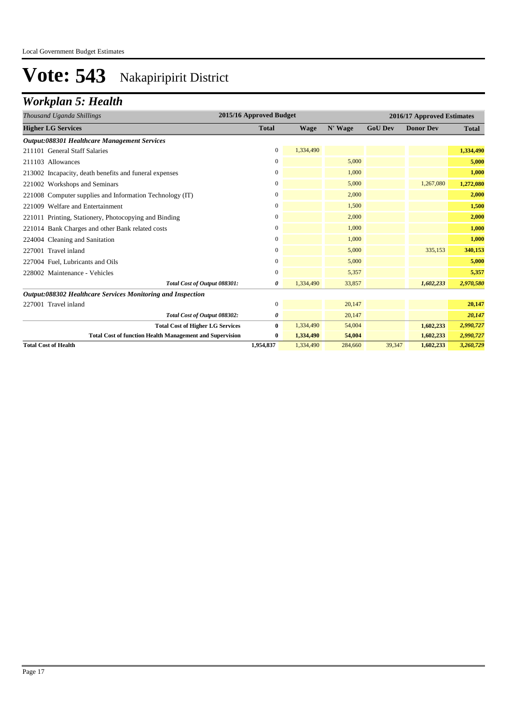## *Workplan 5: Health*

| Thousand Uganda Shillings                                       | 2015/16 Approved Budget |           |         | 2016/17 Approved Estimates |                  |              |  |
|-----------------------------------------------------------------|-------------------------|-----------|---------|----------------------------|------------------|--------------|--|
| <b>Higher LG Services</b>                                       | <b>Total</b>            | Wage      | N' Wage | <b>GoU Dev</b>             | <b>Donor Dev</b> | <b>Total</b> |  |
| <b>Output:088301 Healthcare Management Services</b>             |                         |           |         |                            |                  |              |  |
| 211101 General Staff Salaries                                   | $\Omega$                | 1,334,490 |         |                            |                  | 1,334,490    |  |
| 211103 Allowances                                               | 0                       |           | 5,000   |                            |                  | 5,000        |  |
| 213002 Incapacity, death benefits and funeral expenses          | 0                       |           | 1,000   |                            |                  | 1,000        |  |
| 221002 Workshops and Seminars                                   | $\Omega$                |           | 5,000   |                            | 1,267,080        | 1,272,080    |  |
| 221008 Computer supplies and Information Technology (IT)        | 0                       |           | 2,000   |                            |                  | 2,000        |  |
| 221009 Welfare and Entertainment                                | $\Omega$                |           | 1,500   |                            |                  | 1,500        |  |
| 221011 Printing, Stationery, Photocopying and Binding           | 0                       |           | 2,000   |                            |                  | 2,000        |  |
| 221014 Bank Charges and other Bank related costs                | $\Omega$                |           | 1,000   |                            |                  | 1,000        |  |
| 224004 Cleaning and Sanitation                                  | 0                       |           | 1,000   |                            |                  | 1,000        |  |
| 227001 Travel inland                                            | 0                       |           | 5,000   |                            | 335,153          | 340,153      |  |
| 227004 Fuel, Lubricants and Oils                                | 0                       |           | 5,000   |                            |                  | 5,000        |  |
| 228002 Maintenance - Vehicles                                   | $\Omega$                |           | 5,357   |                            |                  | 5,357        |  |
| Total Cost of Output 088301:                                    | 0                       | 1,334,490 | 33,857  |                            | 1,602,233        | 2,970,580    |  |
| Output:088302 Healthcare Services Monitoring and Inspection     |                         |           |         |                            |                  |              |  |
| 227001 Travel inland                                            | 0                       |           | 20,147  |                            |                  | 20,147       |  |
| Total Cost of Output 088302:                                    | 0                       |           | 20,147  |                            |                  | 20,147       |  |
| <b>Total Cost of Higher LG Services</b>                         | $\mathbf{0}$            | 1,334,490 | 54,004  |                            | 1,602,233        | 2,990,727    |  |
| <b>Total Cost of function Health Management and Supervision</b> | $\bf{0}$                | 1,334,490 | 54,004  |                            | 1,602,233        | 2,990,727    |  |
| <b>Total Cost of Health</b>                                     | 1,954,837               | 1,334,490 | 284,660 | 39.347                     | 1,602,233        | 3,260,729    |  |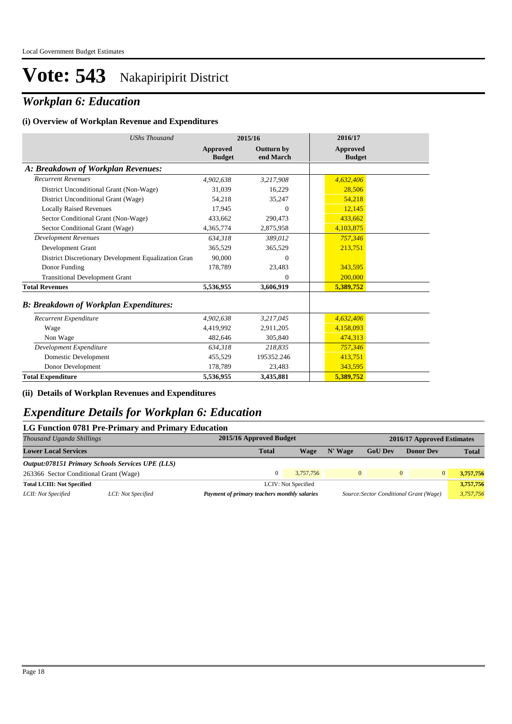## *Workplan 6: Education*

#### **(i) Overview of Workplan Revenue and Expenditures**

| <b>UShs Thousand</b>                                 | 2015/16                   |                                | 2016/17                   |
|------------------------------------------------------|---------------------------|--------------------------------|---------------------------|
|                                                      | Approved<br><b>Budget</b> | <b>Outturn by</b><br>end March | Approved<br><b>Budget</b> |
| A: Breakdown of Workplan Revenues:                   |                           |                                |                           |
| <b>Recurrent Revenues</b>                            | 4.902.638                 | 3,217,908                      | 4.632.406                 |
| District Unconditional Grant (Non-Wage)              | 31,039                    | 16,229                         | 28,506                    |
| District Unconditional Grant (Wage)                  | 54,218                    | 35,247                         | 54,218                    |
| <b>Locally Raised Revenues</b>                       | 17,945                    | $\Omega$                       | 12,145                    |
| Sector Conditional Grant (Non-Wage)                  | 433.662                   | 290,473                        | 433.662                   |
| Sector Conditional Grant (Wage)                      | 4,365,774                 | 2,875,958                      | 4,103,875                 |
| <b>Development Revenues</b>                          | 634,318                   | 389,012                        | 757,346                   |
| Development Grant                                    | 365.529                   | 365,529                        | 213,751                   |
| District Discretionary Development Equalization Gran | 90,000                    | $\Omega$                       |                           |
| Donor Funding                                        | 178,789                   | 23,483                         | 343,595                   |
| <b>Transitional Development Grant</b>                |                           | $\Omega$                       | 200,000                   |
| <b>Total Revenues</b>                                | 5,536,955                 | 3,606,919                      | 5,389,752                 |
| <b>B: Breakdown of Workplan Expenditures:</b>        |                           |                                |                           |
| Recurrent Expenditure                                | 4,902,638                 | 3,217,045                      | 4,632,406                 |
| Wage                                                 | 4,419,992                 | 2,911,205                      | 4,158,093                 |
| Non Wage                                             | 482,646                   | 305,840                        | 474,313                   |
| Development Expenditure                              | 634.318                   | 218.835                        | 757,346                   |
| Domestic Development                                 | 455,529                   | 195352.246                     | 413,751                   |
| Donor Development                                    | 178,789                   | 23,483                         | 343,595                   |
| <b>Total Expenditure</b>                             | 5,536,955                 | 3,435,881                      | 5,389,752                 |

#### **(ii) Details of Workplan Revenues and Expenditures**

#### *Expenditure Details for Workplan 6: Education*

#### **LG Function 0781 Pre-Primary and Primary Education**

| Thousand Uganda Shillings              |                                                         | 2015/16 Approved Budget |                                              |              | 2016/17 Approved Estimates |                                         |                       |  |
|----------------------------------------|---------------------------------------------------------|-------------------------|----------------------------------------------|--------------|----------------------------|-----------------------------------------|-----------------------|--|
| <b>Lower Local Services</b>            |                                                         | <b>Total</b>            | Wage                                         | N' Wage      | <b>GoU Dev</b>             | <b>Donor Dev</b>                        | <b>Total</b>          |  |
|                                        | <b>Output:078151 Primary Schools Services UPE (LLS)</b> |                         |                                              |              |                            |                                         |                       |  |
| 263366 Sector Conditional Grant (Wage) |                                                         |                         | 3.757.756                                    | $\mathbf{0}$ | $\Omega$                   |                                         | $\Omega$<br>3.757.756 |  |
| <b>Total LCIII: Not Specified</b>      |                                                         |                         | LCIV: Not Specified                          |              |                            |                                         | 3,757,756             |  |
| LCII: Not Specified                    | LCI: Not Specified                                      |                         | Payment of primary teachers monthly salaries |              |                            | Source: Sector Conditional Grant (Wage) | 3,757,756             |  |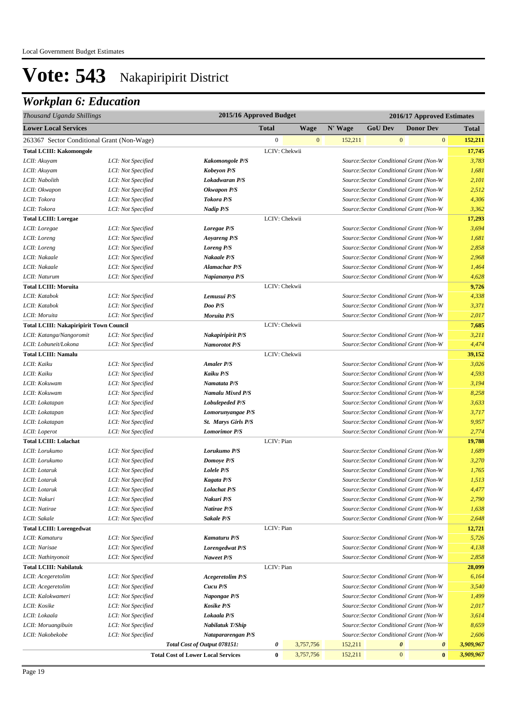| Thousand Uganda Shillings                      | 2015/16 Approved Budget |                                           |                  | 2016/17 Approved Estimates |         |                |                       |                                         |                         |
|------------------------------------------------|-------------------------|-------------------------------------------|------------------|----------------------------|---------|----------------|-----------------------|-----------------------------------------|-------------------------|
| <b>Lower Local Services</b>                    |                         |                                           | <b>Total</b>     | <b>Wage</b>                | N' Wage | <b>GoU Dev</b> |                       | <b>Donor Dev</b>                        | Total                   |
| 263367 Sector Conditional Grant (Non-Wage)     |                         |                                           | $\boldsymbol{0}$ | $\mathbf{0}$               | 152,211 |                | $\mathbf{0}$          |                                         | $\mathbf{0}$<br>152,211 |
| <b>Total LCIII: Kakomongole</b>                |                         |                                           |                  | LCIV: Chekwii              |         |                |                       |                                         | 17,745                  |
| LCII: Akuyam                                   | LCI: Not Specified      | <b>Kakomongole P/S</b>                    |                  |                            |         |                |                       | Source: Sector Conditional Grant (Non-W | 3,783                   |
| LCII: Akuyam                                   | LCI: Not Specified      | <b>Kobeyon P/S</b>                        |                  |                            |         |                |                       | Source: Sector Conditional Grant (Non-W | 1,681                   |
| LCII: Nabolith                                 | LCI: Not Specified      | Lokadwaran P/S                            |                  |                            |         |                |                       | Source: Sector Conditional Grant (Non-W | 2,101                   |
| LCII: Okwapon                                  | LCI: Not Specified      | Okwapon P/S                               |                  |                            |         |                |                       | Source: Sector Conditional Grant (Non-W | 2,512                   |
| LCII: Tokora                                   | LCI: Not Specified      | <b>Tokora P/S</b>                         |                  |                            |         |                |                       | Source: Sector Conditional Grant (Non-W | 4,306                   |
| LCII: Tokora                                   | LCI: Not Specified      | Nadip P/S                                 |                  |                            |         |                |                       | Source: Sector Conditional Grant (Non-W | 3,362                   |
| <b>Total LCIII: Loregae</b>                    |                         |                                           |                  | LCIV: Chekwii              |         |                |                       |                                         | 17,293                  |
| LCII: Loregae                                  | LCI: Not Specified      | Loregae P/S                               |                  |                            |         |                |                       | Source: Sector Conditional Grant (Non-W | 3,694                   |
| LCII: Loreng                                   | LCI: Not Specified      | <b>Aoyareng P/S</b>                       |                  |                            |         |                |                       | Source: Sector Conditional Grant (Non-W | 1,681                   |
| LCII: Loreng                                   | LCI: Not Specified      | <b>Loreng P/S</b>                         |                  |                            |         |                |                       | Source: Sector Conditional Grant (Non-W | 2,858                   |
| LCII: Nakaale                                  | LCI: Not Specified      | Nakaale P/S                               |                  |                            |         |                |                       | Source: Sector Conditional Grant (Non-W | 2,968                   |
| LCII: Nakaale                                  | LCI: Not Specified      | Alamachar P/S                             |                  |                            |         |                |                       | Source: Sector Conditional Grant (Non-W | 1,464                   |
| LCII: Naturum                                  | LCI: Not Specified      | Napiananya P/S                            |                  |                            |         |                |                       | Source: Sector Conditional Grant (Non-W | 4,628                   |
| <b>Total LCIII: Moruita</b>                    |                         |                                           |                  | LCIV: Chekwii              |         |                |                       |                                         | 9,726                   |
| LCII: Katabok                                  | LCI: Not Specified      | Lemusui P/S                               |                  |                            |         |                |                       | Source: Sector Conditional Grant (Non-W | 4,338                   |
| LCII: Katabok                                  | LCI: Not Specified      | Doo P/S                                   |                  |                            |         |                |                       | Source: Sector Conditional Grant (Non-W | 3,371                   |
| LCII: Moruita                                  | LCI: Not Specified      | Moruita P/S                               |                  |                            |         |                |                       | Source: Sector Conditional Grant (Non-W | 2,017                   |
| <b>Total LCIII: Nakapiripirit Town Council</b> |                         |                                           |                  | LCIV: Chekwii              |         |                |                       |                                         | 7,685                   |
| LCII: Katanga/Nangoromit                       | LCI: Not Specified      | Nakapiripirit P/S                         |                  |                            |         |                |                       | Source: Sector Conditional Grant (Non-W | 3,211                   |
| LCII: Lobuneit/Lokona                          | LCI: Not Specified      | Namorotot P/S                             |                  |                            |         |                |                       | Source: Sector Conditional Grant (Non-W | 4,474                   |
| <b>Total LCIII: Namalu</b>                     |                         |                                           |                  | LCIV: Chekwii              |         |                |                       |                                         | 39,152                  |
| LCII: Kaiku                                    | LCI: Not Specified      | <b>Amaler P/S</b>                         |                  |                            |         |                |                       | Source: Sector Conditional Grant (Non-W | 3,026                   |
| LCII: Kaiku                                    | LCI: Not Specified      | Kaiku P/S                                 |                  |                            |         |                |                       | Source: Sector Conditional Grant (Non-W | 4,593                   |
| LCII: Kokuwam                                  | LCI: Not Specified      | Namatata P/S                              |                  |                            |         |                |                       | Source: Sector Conditional Grant (Non-W | 3,194                   |
| LCII: Kokuwam                                  | LCI: Not Specified      | Namalu Mixed P/S                          |                  |                            |         |                |                       | Source: Sector Conditional Grant (Non-W | 8,258                   |
| LCII: Lokatapan                                | LCI: Not Specified      | <b>Lobulepeded P/S</b>                    |                  |                            |         |                |                       | Source: Sector Conditional Grant (Non-W | 3,633                   |
| LCII: Lokatapan                                | LCI: Not Specified      | Lomorunyangae P/S                         |                  |                            |         |                |                       | Source: Sector Conditional Grant (Non-W | 3,717                   |
| LCII: Lokatapan                                | LCI: Not Specified      | St. Marys Girls P/S                       |                  |                            |         |                |                       | Source: Sector Conditional Grant (Non-W | 9,957                   |
| LCII: Loperot                                  | LCI: Not Specified      | <b>Lomorimor P/S</b>                      |                  |                            |         |                |                       | Source: Sector Conditional Grant (Non-W | 2,774                   |
| <b>Total LCIII: Lolachat</b>                   |                         |                                           | LCIV: Pian       |                            |         |                |                       |                                         | 19,788                  |
| LCII: Lorukumo                                 | LCI: Not Specified      | Lorukumo P/S                              |                  |                            |         |                |                       | Source: Sector Conditional Grant (Non-W | 1,689                   |
| LCII: Lorukumo                                 | LCI: Not Specified      | Domoye P/S                                |                  |                            |         |                |                       | Source: Sector Conditional Grant (Non-W | 3,270                   |
| LCII: Lotaruk                                  | LCI: Not Specified      | Lolele P/S                                |                  |                            |         |                |                       | Source: Sector Conditional Grant (Non-W | 1,765                   |
| LCII: Lotaruk                                  | LCI: Not Specified      | Kagata P/S                                |                  |                            |         |                |                       | Source: Sector Conditional Grant (Non-W | 1,513                   |
| LCII: Lotaruk                                  | LCI: Not Specified      | <b>Lolachat P/S</b>                       |                  |                            |         |                |                       | Source: Sector Conditional Grant (Non-W | 4,477                   |
| LCII: Nakuri                                   | LCI: Not Specified      | Nakuri P/S                                |                  |                            |         |                |                       | Source: Sector Conditional Grant (Non-W | 2,790                   |
| LCII: Natirae                                  | LCI: Not Specified      | Natirae P/S                               |                  |                            |         |                |                       | Source: Sector Conditional Grant (Non-W | 1,638                   |
| LCII: Sakale                                   | LCI: Not Specified      | Sakale P/S                                |                  |                            |         |                |                       | Source: Sector Conditional Grant (Non-W | 2,648                   |
| <b>Total LCIII: Lorengedwat</b>                |                         |                                           | LCIV: Pian       |                            |         |                |                       |                                         | 12,721                  |
| LCII: Kamaturu                                 | LCI: Not Specified      | <b>Kamaturu P/S</b>                       |                  |                            |         |                |                       | Source: Sector Conditional Grant (Non-W | 5,726                   |
| LCII: Narisae                                  | LCI: Not Specified      | Lorengedwat P/S                           |                  |                            |         |                |                       | Source: Sector Conditional Grant (Non-W | 4,138                   |
| LCII: Nathinyonoit                             | LCI: Not Specified      | Naweet P/S                                |                  |                            |         |                |                       | Source: Sector Conditional Grant (Non-W | 2,858                   |
| <b>Total LCIII: Nabilatuk</b>                  |                         |                                           | LCIV: Pian       |                            |         |                |                       |                                         | 28,099                  |
| LCII: Acegeretolim                             | LCI: Not Specified      | <b>Acegeretolim P/S</b>                   |                  |                            |         |                |                       | Source: Sector Conditional Grant (Non-W | 6,164                   |
| LCII: Acegeretolim                             | LCI: Not Specified      | Cucu P/S                                  |                  |                            |         |                |                       | Source: Sector Conditional Grant (Non-W | 3,540                   |
| LCII: Kalokwameri                              | LCI: Not Specified      | Napongae P/S                              |                  |                            |         |                |                       | Source: Sector Conditional Grant (Non-W | 1,499                   |
| LCII: Kosike                                   | LCI: Not Specified      | Kosike P/S                                |                  |                            |         |                |                       | Source: Sector Conditional Grant (Non-W | 2,017                   |
| LCII: Lokaala                                  | LCI: Not Specified      | Lokaala P/S                               |                  |                            |         |                |                       | Source: Sector Conditional Grant (Non-W | 3,614                   |
| LCII: Moruangibuin                             | LCI: Not Specified      | Nabilatuk T/Ship                          |                  |                            |         |                |                       | Source: Sector Conditional Grant (Non-W | 8,659                   |
| LCII: Nakobekobe                               | LCI: Not Specified      | Natapararengan P/S                        |                  |                            |         |                |                       | Source: Sector Conditional Grant (Non-W | 2,606                   |
|                                                |                         | Total Cost of Output 078151:              | 0                | 3,757,756                  | 152,211 |                | $\boldsymbol{\theta}$ | $\boldsymbol{\theta}$                   | 3,909,967               |
|                                                |                         | <b>Total Cost of Lower Local Services</b> | $\bf{0}$         | 3,757,756                  | 152,211 |                | $\mathbf{0}$          |                                         | $\bf{0}$<br>3,909,967   |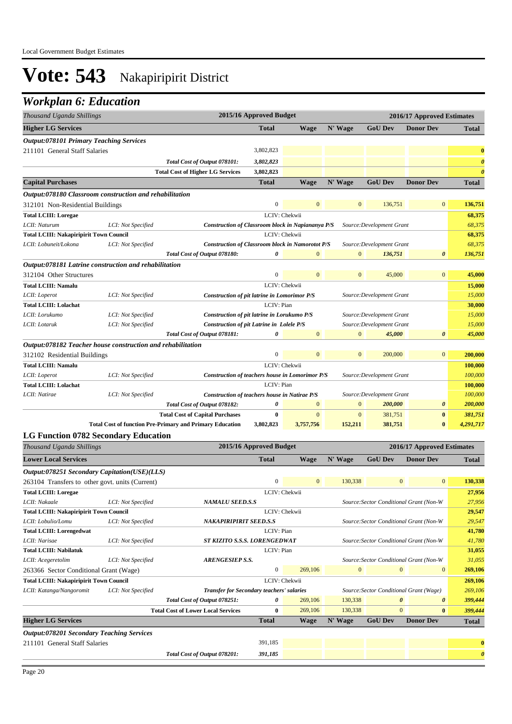| Thousand Uganda Shillings                                            | 2015/16 Approved Budget |                                                                               | 2016/17 Approved Estimates |                  |                  |                                         |                            |                       |
|----------------------------------------------------------------------|-------------------------|-------------------------------------------------------------------------------|----------------------------|------------------|------------------|-----------------------------------------|----------------------------|-----------------------|
| <b>Higher LG Services</b>                                            |                         |                                                                               | <b>Total</b>               | <b>Wage</b>      | N' Wage          | <b>GoU</b> Dev                          | <b>Donor Dev</b>           | Total                 |
| <b>Output:078101 Primary Teaching Services</b>                       |                         |                                                                               |                            |                  |                  |                                         |                            |                       |
| 211101 General Staff Salaries                                        |                         |                                                                               | 3,802,823                  |                  |                  |                                         |                            | $\bf{0}$              |
|                                                                      |                         | Total Cost of Output 078101:                                                  | 3,802,823                  |                  |                  |                                         |                            | $\boldsymbol{\theta}$ |
|                                                                      |                         | <b>Total Cost of Higher LG Services</b>                                       | 3,802,823                  |                  |                  |                                         |                            | $\boldsymbol{\theta}$ |
| <b>Capital Purchases</b>                                             |                         |                                                                               | <b>Total</b>               | <b>Wage</b>      | N' Wage          | <b>GoU Dev</b>                          | <b>Donor Dev</b>           | <b>Total</b>          |
| Output:078180 Classroom construction and rehabilitation              |                         |                                                                               |                            |                  |                  |                                         |                            |                       |
| 312101 Non-Residential Buildings                                     |                         |                                                                               | $\overline{0}$             | $\mathbf{0}$     | $\mathbf{0}$     | 136,751                                 | $\overline{0}$             | 136,751               |
| <b>Total LCIII: Loregae</b>                                          |                         |                                                                               |                            | LCIV: Chekwii    |                  |                                         |                            | 68,375                |
| LCII: Naturum                                                        | LCI: Not Specified      | Construction of Classroom block in Napiananya P/S                             |                            |                  |                  | Source: Development Grant               |                            | 68,375                |
| <b>Total LCIII: Nakapiripirit Town Council</b>                       |                         |                                                                               |                            | LCIV: Chekwii    |                  |                                         |                            | 68,375                |
| LCII: Lobuneit/Lokona                                                | LCI: Not Specified      | <b>Construction of Classroom block in Namorotot P/S</b>                       |                            |                  |                  | Source: Development Grant               |                            | 68,375                |
|                                                                      |                         | Total Cost of Output 078180:                                                  | 0                          | $\boldsymbol{0}$ | $\mathbf{0}$     | 136,751                                 | 0                          | 136,751               |
| Output:078181 Latrine construction and rehabilitation                |                         |                                                                               |                            |                  |                  |                                         |                            |                       |
| 312104 Other Structures                                              |                         |                                                                               | $\boldsymbol{0}$           | $\mathbf{0}$     | $\mathbf{0}$     | 45,000                                  | $\bf{0}$                   | 45,000                |
| <b>Total LCIII: Namalu</b>                                           |                         |                                                                               | LCIV: Chekwii              |                  |                  |                                         |                            | 15,000                |
| LCII: Loperot                                                        | LCI: Not Specified      | Construction of pit latrine in Lomorimor P/S                                  |                            |                  |                  | Source: Development Grant               |                            | 15,000                |
| <b>Total LCIII: Lolachat</b>                                         |                         |                                                                               | LCIV: Pian                 |                  |                  |                                         |                            | 30,000                |
| LCII: Lorukumo                                                       | LCI: Not Specified      | Construction of pit latrine in Lorukumo P/S                                   |                            |                  |                  | Source: Development Grant               |                            | 15,000                |
| LCII: Lotaruk                                                        | LCI: Not Specified      | Construction of pit Latrine in Lolele P/S                                     |                            |                  |                  | Source: Development Grant               |                            | 15,000                |
|                                                                      |                         | Total Cost of Output 078181:                                                  | 0                          | $\overline{0}$   | $\mathbf{0}$     | 45,000                                  | $\boldsymbol{\theta}$      | 45,000                |
| Output:078182 Teacher house construction and rehabilitation          |                         |                                                                               |                            |                  |                  |                                         |                            |                       |
| 312102 Residential Buildings                                         |                         |                                                                               | $\boldsymbol{0}$           | $\overline{0}$   | $\overline{0}$   | 200,000                                 | $\overline{0}$             | 200,000               |
| <b>Total LCIII: Namalu</b>                                           |                         |                                                                               | LCIV: Chekwii              |                  |                  |                                         |                            | 100,000               |
| LCII: Loperot                                                        | LCI: Not Specified      | Construction of teachers house in Lomorimor P/S                               |                            |                  |                  | Source: Development Grant               |                            | 100,000               |
| <b>Total LCIII: Lolachat</b><br>LCII: Natirae                        |                         |                                                                               | LCIV: Pian                 |                  |                  |                                         |                            | 100,000               |
|                                                                      | LCI: Not Specified      | Construction of teachers house in Natirae P/S<br>Total Cost of Output 078182: | 0                          | $\overline{0}$   | $\boldsymbol{0}$ | Source: Development Grant<br>200,000    | $\boldsymbol{\theta}$      | 100,000<br>200,000    |
|                                                                      |                         | <b>Total Cost of Capital Purchases</b>                                        | 0                          | $\mathbf{0}$     | $\mathbf{0}$     | 381,751                                 | $\bf{0}$                   | 381,751               |
|                                                                      |                         | <b>Total Cost of function Pre-Primary and Primary Education</b>               | 3,802,823                  | 3,757,756        | 152,211          | 381,751                                 | $\bf{0}$                   | 4,291,717             |
| <b>LG Function 0782 Secondary Education</b>                          |                         |                                                                               |                            |                  |                  |                                         |                            |                       |
| Thousand Uganda Shillings                                            |                         |                                                                               | 2015/16 Approved Budget    |                  |                  |                                         | 2016/17 Approved Estimates |                       |
|                                                                      |                         |                                                                               |                            |                  |                  |                                         |                            |                       |
| <b>Lower Local Services</b>                                          |                         |                                                                               | <b>Total</b>               | Wage             | N' Wage          | <b>GoU Dev</b>                          | <b>Donor Dev</b>           | <b>Total</b>          |
| Output:078251 Secondary Capitation(USE)(LLS)                         |                         |                                                                               |                            |                  |                  |                                         |                            |                       |
| 263104 Transfers to other govt. units (Current)                      |                         |                                                                               | $\overline{0}$             | $\mathbf{0}$     | 130,338          | $\mathbf{0}$                            | $\bf{0}$                   | 130,338               |
| <b>Total LCIII: Loregae</b>                                          |                         |                                                                               | LCIV: Chekwii              |                  |                  |                                         |                            | 27,956                |
| LCII: Nakaale                                                        | LCI: Not Specified      | <b>NAMALU SEED.S.S</b>                                                        |                            |                  |                  | Source: Sector Conditional Grant (Non-W |                            | 27,956                |
| <b>Total LCIII: Nakapiripirit Town Council</b><br>LCII: Lobulio/Lomu | LCI: Not Specified      | NAKAPIRIPIRIT SEED.S.S                                                        |                            | LCIV: Chekwii    |                  | Source: Sector Conditional Grant (Non-W |                            | 29,547<br>29,547      |
| <b>Total LCIII: Lorengedwat</b>                                      |                         |                                                                               | LCIV: Pian                 |                  |                  |                                         |                            | 41,780                |
| LCII: Narisae                                                        | LCI: Not Specified      | ST KIZITO S.S.S. LORENGEDWAT                                                  |                            |                  |                  | Source: Sector Conditional Grant (Non-W |                            | 41,780                |
| <b>Total LCIII: Nabilatuk</b>                                        |                         |                                                                               | LCIV: Pian                 |                  |                  |                                         |                            | 31,055                |
| LCII: Acegeretolim                                                   | LCI: Not Specified      | <b>ARENGESIEP S.S.</b>                                                        |                            |                  |                  | Source: Sector Conditional Grant (Non-W |                            | 31,055                |
| 263366 Sector Conditional Grant (Wage)                               |                         |                                                                               | $\boldsymbol{0}$           | 269,106          | $\mathbf{0}$     | $\mathbf{0}$                            | $\bf{0}$                   | 269,106               |
| <b>Total LCIII: Nakapiripirit Town Council</b>                       |                         |                                                                               |                            | LCIV: Chekwii    |                  |                                         |                            | 269,106               |
| LCII: Katanga/Nangoromit                                             | LCI: Not Specified      | <b>Transfer for Secondary teachers' salaries</b>                              |                            |                  |                  | Source: Sector Conditional Grant (Wage) |                            | 269,106               |
|                                                                      |                         | Total Cost of Output 078251:                                                  | 0                          | 269,106          | 130,338          | $\pmb{\theta}$                          | 0                          | 399,444               |
|                                                                      |                         | <b>Total Cost of Lower Local Services</b>                                     | $\bf{0}$                   | 269,106          | 130,338          | $\mathbf{0}$                            | $\bf{0}$                   | 399,444               |
| <b>Higher LG Services</b>                                            |                         |                                                                               | <b>Total</b>               | Wage             | N' Wage          | <b>GoU Dev</b>                          | <b>Donor Dev</b>           | <b>Total</b>          |
| <b>Output:078201 Secondary Teaching Services</b>                     |                         |                                                                               |                            |                  |                  |                                         |                            |                       |
| 211101 General Staff Salaries                                        |                         |                                                                               | 391,185                    |                  |                  |                                         |                            | $\bf{0}$              |
|                                                                      |                         | Total Cost of Output 078201:                                                  | 391,185                    |                  |                  |                                         |                            | $\boldsymbol{\theta}$ |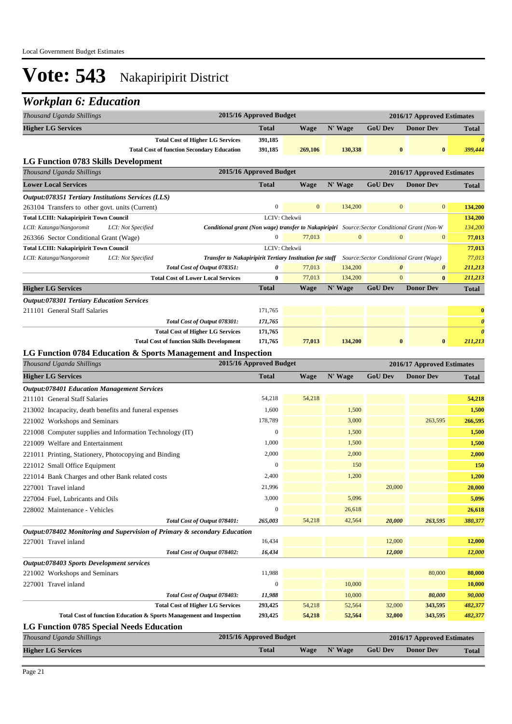| Thousand Uganda Shillings                                                                                                                              | 2015/16 Approved Budget |              |              |                                                                  | 2016/17 Approved Estimates |                       |
|--------------------------------------------------------------------------------------------------------------------------------------------------------|-------------------------|--------------|--------------|------------------------------------------------------------------|----------------------------|-----------------------|
| <b>Higher LG Services</b>                                                                                                                              | <b>Total</b>            | Wage         | N' Wage      | <b>GoU Dev</b>                                                   | <b>Donor Dev</b>           | Total                 |
| <b>Total Cost of Higher LG Services</b>                                                                                                                | 391,185                 |              |              |                                                                  |                            | 0                     |
| <b>Total Cost of function Secondary Education</b>                                                                                                      | 391,185                 | 269,106      | 130,338      | $\bf{0}$                                                         | $\bf{0}$                   | 399,444               |
| LG Function 0783 Skills Development                                                                                                                    |                         |              |              |                                                                  |                            |                       |
| Thousand Uganda Shillings                                                                                                                              | 2015/16 Approved Budget |              |              |                                                                  | 2016/17 Approved Estimates |                       |
| <b>Lower Local Services</b>                                                                                                                            | <b>Total</b>            | <b>Wage</b>  | N' Wage      | <b>GoU Dev</b>                                                   | <b>Donor Dev</b>           | Total                 |
| Output:078351 Tertiary Institutions Services (LLS)                                                                                                     |                         |              |              |                                                                  |                            |                       |
| 263104 Transfers to other govt. units (Current)                                                                                                        | $\boldsymbol{0}$        | $\mathbf{0}$ | 134,200      | $\mathbf{0}$                                                     | $\mathbf{0}$               | 134,200               |
| <b>Total LCIII: Nakapiripirit Town Council</b>                                                                                                         | LCIV: Chekwii           |              |              |                                                                  |                            | 134,200               |
| LCII: Katanga/Nangoromit<br>LCI: Not Specified<br><b>Conditional grant (Non wage) transfer to Nakapiripiri</b> Source: Sector Conditional Grant (Non-W |                         |              |              |                                                                  |                            | 134,200               |
| 263366 Sector Conditional Grant (Wage)                                                                                                                 | $\mathbf{0}$            | 77,013       | $\mathbf{0}$ | $\mathbf{0}$                                                     | $\bf{0}$                   | 77,013                |
| <b>Total LCIII: Nakapiripirit Town Council</b>                                                                                                         | LCIV: Chekwii           |              |              |                                                                  |                            | 77,013                |
| LCII: Katanga/Nangoromit<br>LCI: Not Specified<br>Transfer to Nakapiripirit Tertiary Institution for staff<br>Total Cost of Output 078351:             | 0                       | 77,013       | 134,200      | Source: Sector Conditional Grant (Wage)<br>$\boldsymbol{\theta}$ | 0                          | 77,013<br>211,213     |
| <b>Total Cost of Lower Local Services</b>                                                                                                              | $\bf{0}$                | 77,013       | 134,200      | $\mathbf{0}$                                                     | $\bf{0}$                   | 211,213               |
| <b>Higher LG Services</b>                                                                                                                              | <b>Total</b>            | <b>Wage</b>  | N' Wage      | <b>GoU Dev</b>                                                   | <b>Donor Dev</b>           | Total                 |
| <b>Output:078301 Tertiary Education Services</b>                                                                                                       |                         |              |              |                                                                  |                            |                       |
| 211101 General Staff Salaries                                                                                                                          | 171,765                 |              |              |                                                                  |                            | $\bf{0}$              |
| Total Cost of Output 078301:                                                                                                                           | 171,765                 |              |              |                                                                  |                            | $\boldsymbol{\theta}$ |
| <b>Total Cost of Higher LG Services</b>                                                                                                                | 171,765                 |              |              |                                                                  |                            | $\boldsymbol{\theta}$ |
| <b>Total Cost of function Skills Development</b>                                                                                                       | 171,765                 | 77,013       | 134,200      | $\bf{0}$                                                         | $\bf{0}$                   | 211,213               |
| LG Function 0784 Education & Sports Management and Inspection                                                                                          |                         |              |              |                                                                  |                            |                       |
| Thousand Uganda Shillings                                                                                                                              | 2015/16 Approved Budget |              |              |                                                                  | 2016/17 Approved Estimates |                       |
| <b>Higher LG Services</b>                                                                                                                              | <b>Total</b>            | Wage         | N' Wage      | <b>GoU Dev</b>                                                   | <b>Donor Dev</b>           | <b>Total</b>          |
| <b>Output:078401 Education Management Services</b>                                                                                                     |                         |              |              |                                                                  |                            |                       |
| 211101 General Staff Salaries                                                                                                                          | 54,218                  | 54,218       |              |                                                                  |                            | 54,218                |
| 213002 Incapacity, death benefits and funeral expenses                                                                                                 | 1,600                   |              | 1,500        |                                                                  |                            | 1,500                 |
| 221002 Workshops and Seminars                                                                                                                          | 178,789                 |              | 3,000        |                                                                  | 263,595                    | 266,595               |
| 221008 Computer supplies and Information Technology (IT)                                                                                               | $\boldsymbol{0}$        |              | 1,500        |                                                                  |                            | 1,500                 |
| 221009 Welfare and Entertainment                                                                                                                       | 1,000                   |              | 1,500        |                                                                  |                            | 1,500                 |
| 221011 Printing, Stationery, Photocopying and Binding                                                                                                  | 2,000                   |              | 2,000        |                                                                  |                            | 2,000                 |
| 221012 Small Office Equipment                                                                                                                          | $\boldsymbol{0}$        |              | 150          |                                                                  |                            | 150                   |
| 221014 Bank Charges and other Bank related costs                                                                                                       | 2,400                   |              | 1,200        |                                                                  |                            | 1,200                 |
| 227001 Travel inland                                                                                                                                   | 21,996                  |              |              | 20,000                                                           |                            | 20,000                |
| 227004 Fuel, Lubricants and Oils                                                                                                                       | 3,000                   |              | 5,096        |                                                                  |                            | 5,096                 |
| 228002 Maintenance - Vehicles                                                                                                                          | $\boldsymbol{0}$        |              | 26,618       |                                                                  |                            | 26,618                |
| Total Cost of Output 078401:                                                                                                                           | 265,003                 | 54,218       | 42,564       | 20,000                                                           | 263,595                    | 380,377               |
| Output:078402 Monitoring and Supervision of Primary & secondary Education                                                                              |                         |              |              |                                                                  |                            |                       |
| 227001 Travel inland                                                                                                                                   | 16,434                  |              |              | 12,000                                                           |                            | 12,000                |
| Total Cost of Output 078402:                                                                                                                           | 16,434                  |              |              | 12,000                                                           |                            | 12,000                |
| Output:078403 Sports Development services                                                                                                              |                         |              |              |                                                                  |                            |                       |
| 221002 Workshops and Seminars                                                                                                                          | 11,988                  |              |              |                                                                  | 80,000                     | 80,000                |
| 227001 Travel inland                                                                                                                                   | $\boldsymbol{0}$        |              | 10,000       |                                                                  |                            | 10,000                |
| Total Cost of Output 078403:                                                                                                                           | 11,988                  |              | 10,000       |                                                                  | 80,000                     | 90,000                |
| <b>Total Cost of Higher LG Services</b>                                                                                                                | 293,425                 | 54,218       | 52,564       | 32,000                                                           | 343,595                    | 482,377               |
| Total Cost of function Education & Sports Management and Inspection                                                                                    | 293,425                 | 54,218       | 52,564       | 32,000                                                           | 343,595                    | 482,377               |
| <b>LG Function 0785 Special Needs Education</b>                                                                                                        |                         |              |              |                                                                  |                            |                       |
| Thousand Uganda Shillings                                                                                                                              | 2015/16 Approved Budget |              |              |                                                                  | 2016/17 Approved Estimates |                       |
| <b>Higher LG Services</b>                                                                                                                              | <b>Total</b>            | <b>Wage</b>  | N' Wage      | <b>GoU Dev</b>                                                   | <b>Donor Dev</b>           | <b>Total</b>          |
|                                                                                                                                                        |                         |              |              |                                                                  |                            |                       |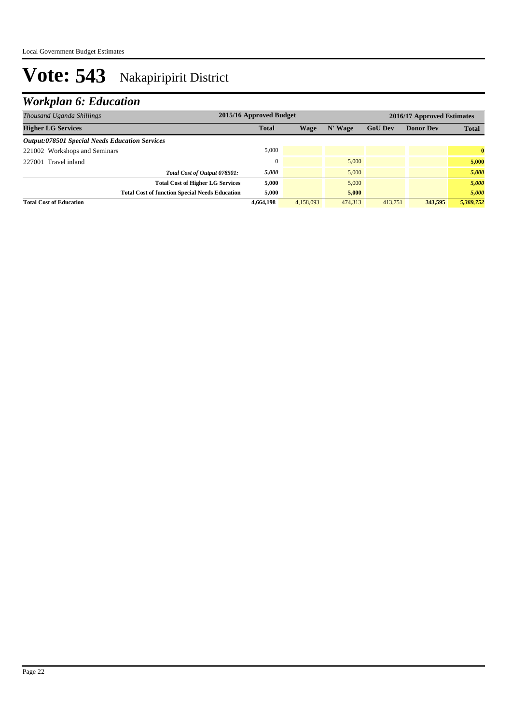| Thousand Uganda Shillings                             | 2015/16 Approved Budget |           |         | 2016/17 Approved Estimates |                  |              |
|-------------------------------------------------------|-------------------------|-----------|---------|----------------------------|------------------|--------------|
| <b>Higher LG Services</b>                             | <b>Total</b>            | Wage      | N' Wage | <b>GoU Dev</b>             | <b>Donor Dev</b> | <b>Total</b> |
| <b>Output:078501 Special Needs Education Services</b> |                         |           |         |                            |                  |              |
| 221002 Workshops and Seminars                         | 5,000                   |           |         |                            |                  | $\bf{0}$     |
| 227001 Travel inland                                  |                         |           | 5,000   |                            |                  | 5,000        |
| Total Cost of Output 078501:                          | 5,000                   |           | 5,000   |                            |                  | 5,000        |
| <b>Total Cost of Higher LG Services</b>               | 5,000                   |           | 5,000   |                            |                  | 5,000        |
| <b>Total Cost of function Special Needs Education</b> | 5,000                   |           | 5,000   |                            |                  | 5,000        |
| <b>Total Cost of Education</b>                        | 4.664.198               | 4.158,093 | 474,313 | 413,751                    | 343,595          | 5,389,752    |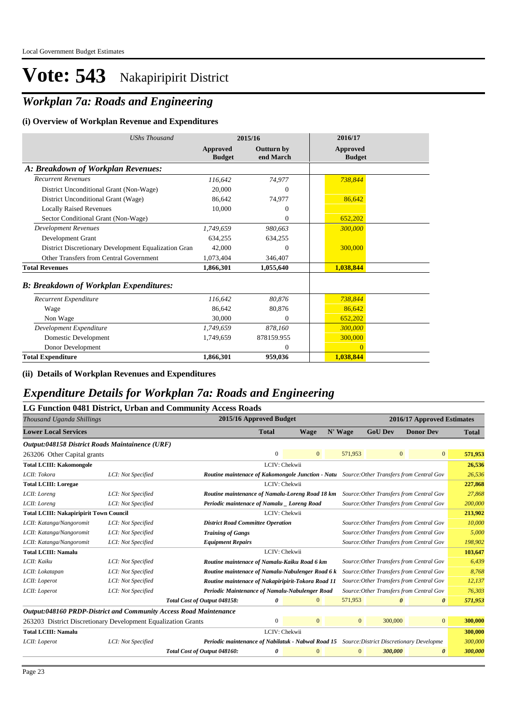## *Workplan 7a: Roads and Engineering*

#### **(i) Overview of Workplan Revenue and Expenditures**

| <b>UShs Thousand</b>                                 |                           | 2015/16                        | 2016/17                          |
|------------------------------------------------------|---------------------------|--------------------------------|----------------------------------|
|                                                      | Approved<br><b>Budget</b> | <b>Outturn by</b><br>end March | <b>Approved</b><br><b>Budget</b> |
| A: Breakdown of Workplan Revenues:                   |                           |                                |                                  |
| <b>Recurrent Revenues</b>                            | 116.642                   | 74.977                         | 738,844                          |
| District Unconditional Grant (Non-Wage)              | 20.000                    | $\theta$                       |                                  |
| District Unconditional Grant (Wage)                  | 86.642                    | 74,977                         | 86,642                           |
| <b>Locally Raised Revenues</b>                       | 10.000                    | $\Omega$                       |                                  |
| Sector Conditional Grant (Non-Wage)                  |                           | $\overline{0}$                 | 652,202                          |
| <b>Development Revenues</b>                          | 1.749.659                 | 980,663                        | 300,000                          |
| Development Grant                                    | 634.255                   | 634,255                        |                                  |
| District Discretionary Development Equalization Gran | 42,000                    | $\Omega$                       | 300,000                          |
| Other Transfers from Central Government              | 1,073,404                 | 346,407                        |                                  |
| <b>Total Revenues</b>                                | 1,866,301                 | 1,055,640                      | 1,038,844                        |
| <b>B: Breakdown of Workplan Expenditures:</b>        |                           |                                |                                  |
| Recurrent Expenditure                                | 116,642                   | 80.876                         | 738,844                          |
| Wage                                                 | 86.642                    | 80,876                         | 86,642                           |
| Non Wage                                             | 30,000                    | $\Omega$                       | 652,202                          |
| Development Expenditure                              | 1,749,659                 | 878,160                        | 300,000                          |
| Domestic Development                                 | 1,749,659                 | 878159.955                     | 300,000                          |
| Donor Development                                    |                           | $\theta$                       |                                  |
| <b>Total Expenditure</b>                             | 1,866,301                 | 959,036                        | 1,038,844                        |

**(ii) Details of Workplan Revenues and Expenditures**

### *Expenditure Details for Workplan 7a: Roads and Engineering*

#### **LG Function 0481 District, Urban and Community Access Roads**

| Thousand Uganda Shillings                                         |                    |                                                                                                   | 2015/16 Approved Budget |                |         | 2016/17 Approved Estimates |                |                                          |              |
|-------------------------------------------------------------------|--------------------|---------------------------------------------------------------------------------------------------|-------------------------|----------------|---------|----------------------------|----------------|------------------------------------------|--------------|
| <b>Lower Local Services</b>                                       |                    |                                                                                                   | <b>Total</b>            | <b>Wage</b>    |         | N' Wage                    | <b>GoU Dev</b> | <b>Donor Dev</b>                         | <b>Total</b> |
| Output:048158 District Roads Maintainence (URF)                   |                    |                                                                                                   |                         |                |         |                            |                |                                          |              |
| 263206 Other Capital grants                                       |                    |                                                                                                   | $\mathbf{0}$            | $\overline{0}$ |         | 571,953                    |                | $\mathbf{0}$<br>$\overline{0}$           | 571,953      |
| <b>Total LCIII: Kakomongole</b>                                   |                    |                                                                                                   | LCIV: Chekwii           |                |         |                            |                |                                          | 26,536       |
| LCII: Tokora                                                      | LCI: Not Specified | <b>Routine maintenace of Kakomongole Junction - Natu</b> Source: Other Transfers from Central Gov |                         |                |         |                            |                |                                          | 26,536       |
| <b>Total LCIII: Loregae</b>                                       |                    |                                                                                                   | LCIV: Chekwii           |                |         |                            |                |                                          | 227,868      |
| LCII: Loreng                                                      | LCI: Not Specified | Routine maintenance of Namalu-Loreng Road 18 km                                                   |                         |                |         |                            |                | Source: Other Transfers from Central Gov | 27,868       |
| LCII: Loreng                                                      | LCI: Not Specified | Periodic maintenace of Namalu _ Loreng Road                                                       |                         |                |         |                            |                | Source: Other Transfers from Central Gov | 200,000      |
| LCIV: Chekwii<br><b>Total LCIII: Nakapiripirit Town Council</b>   |                    |                                                                                                   |                         |                | 213,902 |                            |                |                                          |              |
| LCII: Katanga/Nangoromit                                          | LCI: Not Specified | <b>District Road Committee Operation</b>                                                          |                         |                |         |                            |                | Source: Other Transfers from Central Gov | 10,000       |
| LCII: Katanga/Nangoromit                                          | LCI: Not Specified | <b>Training of Gangs</b>                                                                          |                         |                |         |                            |                | Source: Other Transfers from Central Gov | 5,000        |
| LCII: Katanga/Nangoromit                                          | LCI: Not Specified | <b>Equipment Repairs</b>                                                                          |                         |                |         |                            |                | Source: Other Transfers from Central Gov | 198,902      |
| <b>Total LCIII: Namalu</b>                                        |                    |                                                                                                   | LCIV: Chekwii           |                |         |                            |                |                                          | 103,647      |
| LCII: Kaiku                                                       | LCI: Not Specified | Routine maintenace of Namalu-Kaiku Road 6 km                                                      |                         |                |         |                            |                | Source: Other Transfers from Central Gov | 6,439        |
| LCII: Lokatapan                                                   | LCI: Not Specified | Routine maintenace of Namalu-Nabulenger Road 6 k                                                  |                         |                |         |                            |                | Source: Other Transfers from Central Gov | 8,768        |
| LCII: Loperot                                                     | LCI: Not Specified | Routine maintenace of Nakapiripirit-Tokora Road 11                                                |                         |                |         |                            |                | Source: Other Transfers from Central Gov | 12,137       |
| LCII: Loperot                                                     | LCI: Not Specified | Periodic Maintenance of Namalu-Nabulenger Road                                                    |                         |                |         |                            |                | Source: Other Transfers from Central Gov | 76,303       |
|                                                                   |                    | Total Cost of Output 048158:                                                                      | 0                       | $\overline{0}$ |         | 571,953                    |                | 0<br>0                                   | 571,953      |
| Output:048160 PRDP-District and Community Access Road Maintenance |                    |                                                                                                   |                         |                |         |                            |                |                                          |              |
| 263203 District Discretionary Development Equalization Grants     |                    |                                                                                                   | $\mathbf{0}$            | $\mathbf{0}$   |         | $\mathbf{0}$               | 300,000        | $\overline{0}$                           | 300,000      |
| <b>Total LCIII: Namalu</b>                                        |                    |                                                                                                   | LCIV: Chekwii           |                |         |                            |                |                                          | 300,000      |
| LCII: Loperot                                                     | LCI: Not Specified | Periodic maintenance of Nabilatuk - Nabwal Road 15 Source: District Discretionary Developme       |                         |                |         |                            |                |                                          | 300,000      |
|                                                                   |                    | Total Cost of Output 048160:                                                                      | 0                       | $\mathbf{0}$   |         | $\mathbf{0}$               | 300,000        | $\boldsymbol{\theta}$                    | 300,000      |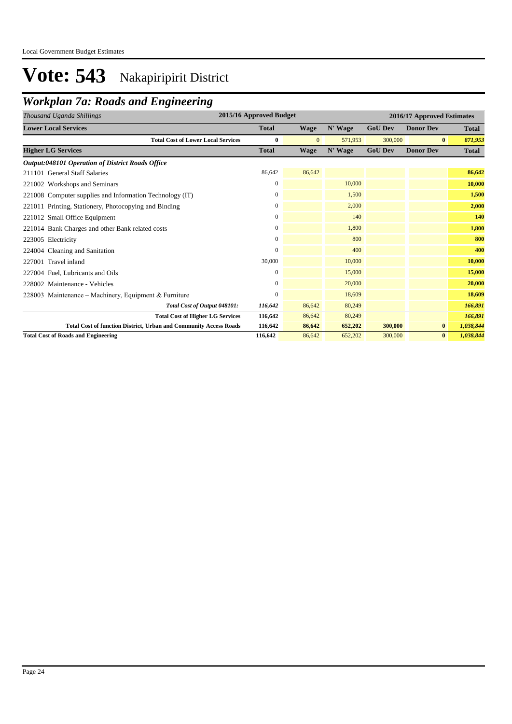## *Workplan 7a: Roads and Engineering*

| 2015/16 Approved Budget<br>Thousand Uganda Shillings                     |                  |          |         |                | 2016/17 Approved Estimates |              |  |  |
|--------------------------------------------------------------------------|------------------|----------|---------|----------------|----------------------------|--------------|--|--|
| <b>Lower Local Services</b>                                              | <b>Total</b>     | Wage     | N' Wage | <b>GoU Dev</b> | <b>Donor Dev</b>           | <b>Total</b> |  |  |
| <b>Total Cost of Lower Local Services</b>                                | $\bf{0}$         | $\Omega$ | 571,953 | 300,000        | $\mathbf{0}$               | 871,953      |  |  |
| <b>Higher LG Services</b>                                                | <b>Total</b>     | Wage     | N' Wage | <b>GoU Dev</b> | <b>Donor Dev</b>           | <b>Total</b> |  |  |
| <b>Output:048101 Operation of District Roads Office</b>                  |                  |          |         |                |                            |              |  |  |
| 211101 General Staff Salaries                                            | 86,642           | 86,642   |         |                |                            | 86,642       |  |  |
| 221002 Workshops and Seminars                                            | $\mathbf{0}$     |          | 10,000  |                |                            | 10,000       |  |  |
| 221008 Computer supplies and Information Technology (IT)                 | $\mathbf{0}$     |          | 1,500   |                |                            | 1,500        |  |  |
| 221011 Printing, Stationery, Photocopying and Binding                    | $\boldsymbol{0}$ |          | 2,000   |                |                            | 2,000        |  |  |
| 221012 Small Office Equipment                                            | $\mathbf{0}$     |          | 140     |                |                            | 140          |  |  |
| 221014 Bank Charges and other Bank related costs                         | $\mathbf{0}$     |          | 1.800   |                |                            | 1,800        |  |  |
| 223005 Electricity                                                       | $\mathbf{0}$     |          | 800     |                |                            | 800          |  |  |
| 224004 Cleaning and Sanitation                                           | $\overline{0}$   |          | 400     |                |                            | 400          |  |  |
| 227001 Travel inland                                                     | 30,000           |          | 10,000  |                |                            | 10,000       |  |  |
| 227004 Fuel, Lubricants and Oils                                         | $\mathbf{0}$     |          | 15,000  |                |                            | 15,000       |  |  |
| 228002 Maintenance - Vehicles                                            | $\mathbf{0}$     |          | 20,000  |                |                            | 20,000       |  |  |
| 228003 Maintenance – Machinery, Equipment & Furniture                    | $\mathbf{0}$     |          | 18,609  |                |                            | 18,609       |  |  |
| Total Cost of Output 048101:                                             | 116,642          | 86,642   | 80,249  |                |                            | 166,891      |  |  |
| <b>Total Cost of Higher LG Services</b>                                  | 116,642          | 86,642   | 80,249  |                |                            | 166,891      |  |  |
| <b>Total Cost of function District, Urban and Community Access Roads</b> | 116,642          | 86,642   | 652,202 | 300,000        | $\bf{0}$                   | 1,038,844    |  |  |
| <b>Total Cost of Roads and Engineering</b>                               | 116,642          | 86,642   | 652,202 | 300,000        | $\bf{0}$                   | 1,038,844    |  |  |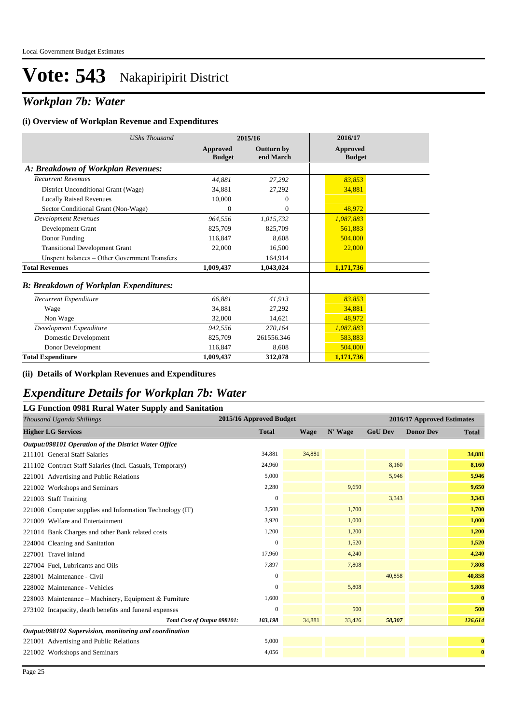### *Workplan 7b: Water*

#### **(i) Overview of Workplan Revenue and Expenditures**

| <b>UShs Thousand</b>                          |                                  | 2015/16                        | 2016/17                          |
|-----------------------------------------------|----------------------------------|--------------------------------|----------------------------------|
|                                               | <b>Approved</b><br><b>Budget</b> | <b>Outturn by</b><br>end March | <b>Approved</b><br><b>Budget</b> |
| A: Breakdown of Workplan Revenues:            |                                  |                                |                                  |
| <b>Recurrent Revenues</b>                     | 44,881                           | 27,292                         | 83,853                           |
| District Unconditional Grant (Wage)           | 34,881                           | 27,292                         | 34,881                           |
| <b>Locally Raised Revenues</b>                | 10,000                           | $\theta$                       |                                  |
| Sector Conditional Grant (Non-Wage)           | $\theta$                         | $\Omega$                       | 48,972                           |
| <b>Development Revenues</b>                   | 964.556                          | 1,015,732                      | 1,087,883                        |
| Development Grant                             | 825,709                          | 825,709                        | 561,883                          |
| Donor Funding                                 | 116,847                          | 8,608                          | 504,000                          |
| <b>Transitional Development Grant</b>         | 22,000                           | 16,500                         | 22,000                           |
| Unspent balances - Other Government Transfers |                                  | 164,914                        |                                  |
| <b>Total Revenues</b>                         | 1,009,437                        | 1,043,024                      | 1,171,736                        |
| <b>B: Breakdown of Workplan Expenditures:</b> |                                  |                                |                                  |
| Recurrent Expenditure                         | 66,881                           | 41,913                         | 83,853                           |
| Wage                                          | 34.881                           | 27,292                         | 34,881                           |
| Non Wage                                      | 32,000                           | 14,621                         | 48.972                           |
| Development Expenditure                       | 942,556                          | 270,164                        | 1,087,883                        |
| Domestic Development                          | 825,709                          | 261556.346                     | 583,883                          |
| Donor Development                             | 116,847                          | 8,608                          | 504,000                          |
| <b>Total Expenditure</b>                      | 1,009,437                        | 312,078                        | 1,171,736                        |

#### **(ii) Details of Workplan Revenues and Expenditures**

### *Expenditure Details for Workplan 7b: Water*

| LG Function 0981 Rural Water Supply and Sanitation        |                         |                            |         |                |                  |              |  |  |  |
|-----------------------------------------------------------|-------------------------|----------------------------|---------|----------------|------------------|--------------|--|--|--|
| Thousand Uganda Shillings                                 | 2015/16 Approved Budget | 2016/17 Approved Estimates |         |                |                  |              |  |  |  |
| <b>Higher LG Services</b>                                 | <b>Total</b>            | <b>Wage</b>                | N' Wage | <b>GoU Dev</b> | <b>Donor Dev</b> | <b>Total</b> |  |  |  |
| Output:098101 Operation of the District Water Office      |                         |                            |         |                |                  |              |  |  |  |
| 211101 General Staff Salaries                             | 34,881                  | 34,881                     |         |                |                  | 34,881       |  |  |  |
| 211102 Contract Staff Salaries (Incl. Casuals, Temporary) | 24,960                  |                            |         | 8,160          |                  | 8,160        |  |  |  |
| 221001 Advertising and Public Relations                   | 5,000                   |                            |         | 5,946          |                  | 5,946        |  |  |  |
| 221002 Workshops and Seminars                             | 2,280                   |                            | 9,650   |                |                  | 9,650        |  |  |  |
| 221003 Staff Training                                     | $\mathbf{0}$            |                            |         | 3,343          |                  | 3,343        |  |  |  |
| 221008 Computer supplies and Information Technology (IT)  | 3,500                   |                            | 1,700   |                |                  | 1,700        |  |  |  |
| 221009 Welfare and Entertainment                          | 3,920                   |                            | 1,000   |                |                  | 1,000        |  |  |  |
| 221014 Bank Charges and other Bank related costs          | 1,200                   |                            | 1,200   |                |                  | 1,200        |  |  |  |
| 224004 Cleaning and Sanitation                            | $\overline{0}$          |                            | 1,520   |                |                  | 1,520        |  |  |  |
| 227001 Travel inland                                      | 17,960                  |                            | 4,240   |                |                  | 4,240        |  |  |  |
| 227004 Fuel, Lubricants and Oils                          | 7,897                   |                            | 7,808   |                |                  | 7,808        |  |  |  |
| 228001 Maintenance - Civil                                | $\overline{0}$          |                            |         | 40,858         |                  | 40,858       |  |  |  |
| 228002 Maintenance - Vehicles                             | 0                       |                            | 5,808   |                |                  | 5,808        |  |  |  |
| 228003 Maintenance – Machinery, Equipment & Furniture     | 1,600                   |                            |         |                |                  | $\bf{0}$     |  |  |  |
| 273102 Incapacity, death benefits and funeral expenses    | $\mathbf{0}$            |                            | 500     |                |                  | 500          |  |  |  |
| Total Cost of Output 098101:                              | 103,198                 | 34,881                     | 33,426  | 58,307         |                  | 126,614      |  |  |  |
| Output:098102 Supervision, monitoring and coordination    |                         |                            |         |                |                  |              |  |  |  |
| 221001 Advertising and Public Relations                   | 5,000                   |                            |         |                |                  | $\bf{0}$     |  |  |  |
| 221002 Workshops and Seminars                             | 4,056                   |                            |         |                |                  | $\bf{0}$     |  |  |  |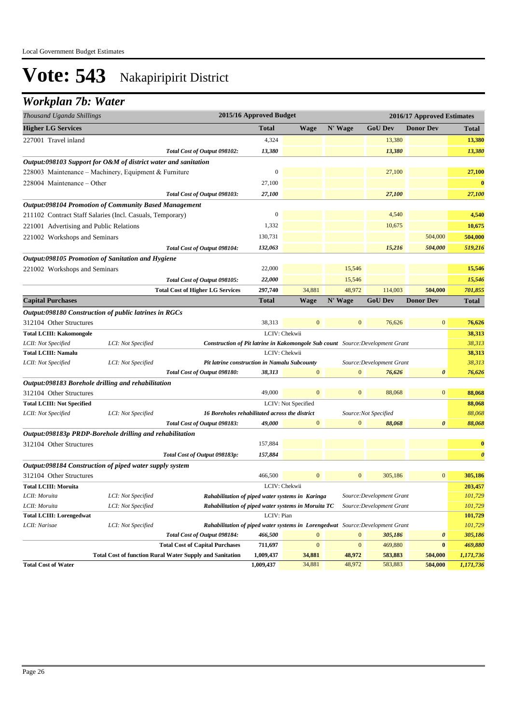## *Workplan 7b: Water*

| <b>Higher LG Services</b><br>N' Wage<br><b>Total</b><br><b>Wage</b><br><b>GoU</b> Dev<br><b>Donor Dev</b><br>Total<br>13,380<br>227001 Travel inland<br>4,324<br>13,380<br>13,380<br>13,380<br>13,380<br>Total Cost of Output 098102:<br>Output:098103 Support for O&M of district water and sanitation<br>$\boldsymbol{0}$<br>27,100<br>27,100<br>228003 Maintenance - Machinery, Equipment & Furniture<br>27,100<br>228004 Maintenance – Other<br>27,100<br>27,100<br>27,100<br>Total Cost of Output 098103:<br>Output:098104 Promotion of Community Based Management<br>4,540<br>0<br>4,540<br>211102 Contract Staff Salaries (Incl. Casuals, Temporary)<br>1,332<br>10,675<br>10,675<br>221001 Advertising and Public Relations<br>504,000<br>221002 Workshops and Seminars<br>130,731<br>504,000 |
|-------------------------------------------------------------------------------------------------------------------------------------------------------------------------------------------------------------------------------------------------------------------------------------------------------------------------------------------------------------------------------------------------------------------------------------------------------------------------------------------------------------------------------------------------------------------------------------------------------------------------------------------------------------------------------------------------------------------------------------------------------------------------------------------------------|
|                                                                                                                                                                                                                                                                                                                                                                                                                                                                                                                                                                                                                                                                                                                                                                                                       |
|                                                                                                                                                                                                                                                                                                                                                                                                                                                                                                                                                                                                                                                                                                                                                                                                       |
|                                                                                                                                                                                                                                                                                                                                                                                                                                                                                                                                                                                                                                                                                                                                                                                                       |
|                                                                                                                                                                                                                                                                                                                                                                                                                                                                                                                                                                                                                                                                                                                                                                                                       |
|                                                                                                                                                                                                                                                                                                                                                                                                                                                                                                                                                                                                                                                                                                                                                                                                       |
|                                                                                                                                                                                                                                                                                                                                                                                                                                                                                                                                                                                                                                                                                                                                                                                                       |
|                                                                                                                                                                                                                                                                                                                                                                                                                                                                                                                                                                                                                                                                                                                                                                                                       |
|                                                                                                                                                                                                                                                                                                                                                                                                                                                                                                                                                                                                                                                                                                                                                                                                       |
|                                                                                                                                                                                                                                                                                                                                                                                                                                                                                                                                                                                                                                                                                                                                                                                                       |
|                                                                                                                                                                                                                                                                                                                                                                                                                                                                                                                                                                                                                                                                                                                                                                                                       |
|                                                                                                                                                                                                                                                                                                                                                                                                                                                                                                                                                                                                                                                                                                                                                                                                       |
| 504,000<br>519,216<br>Total Cost of Output 098104:<br>132,063<br>15,216                                                                                                                                                                                                                                                                                                                                                                                                                                                                                                                                                                                                                                                                                                                               |
| Output:098105 Promotion of Sanitation and Hygiene                                                                                                                                                                                                                                                                                                                                                                                                                                                                                                                                                                                                                                                                                                                                                     |
| 22,000<br>15,546<br>15,546<br>221002 Workshops and Seminars                                                                                                                                                                                                                                                                                                                                                                                                                                                                                                                                                                                                                                                                                                                                           |
| Total Cost of Output 098105:<br>22,000<br>15,546<br>15,546                                                                                                                                                                                                                                                                                                                                                                                                                                                                                                                                                                                                                                                                                                                                            |
| 48,972<br><b>Total Cost of Higher LG Services</b><br>34,881<br>114,003<br>504,000<br>701,855<br>297,740                                                                                                                                                                                                                                                                                                                                                                                                                                                                                                                                                                                                                                                                                               |
| N' Wage<br><b>Total</b><br><b>GoU Dev</b><br><b>Donor Dev</b><br><b>Capital Purchases</b><br><b>Wage</b><br><b>Total</b>                                                                                                                                                                                                                                                                                                                                                                                                                                                                                                                                                                                                                                                                              |
| Output:098180 Construction of public latrines in RGCs                                                                                                                                                                                                                                                                                                                                                                                                                                                                                                                                                                                                                                                                                                                                                 |
| 38,313<br>$\mathbf{0}$<br>76,626<br>$\mathbf{0}$<br>76,626<br>312104 Other Structures<br>$\mathbf{0}$                                                                                                                                                                                                                                                                                                                                                                                                                                                                                                                                                                                                                                                                                                 |
| 38,313<br><b>Total LCIII: Kakomongole</b><br>LCIV: Chekwii                                                                                                                                                                                                                                                                                                                                                                                                                                                                                                                                                                                                                                                                                                                                            |
| LCII: Not Specified<br>Construction of Pit latrine in Kakomongole Sub count Source: Development Grant<br>38,313<br>LCI: Not Specified                                                                                                                                                                                                                                                                                                                                                                                                                                                                                                                                                                                                                                                                 |
| <b>Total LCIII: Namalu</b><br>LCIV: Chekwii<br>38,313                                                                                                                                                                                                                                                                                                                                                                                                                                                                                                                                                                                                                                                                                                                                                 |
| Pit latrine construction in Namalu Subcounty<br>38,313<br>LCII: Not Specified<br>LCI: Not Specified<br>Source: Development Grant                                                                                                                                                                                                                                                                                                                                                                                                                                                                                                                                                                                                                                                                      |
| Total Cost of Output 098180:<br>$\mathbf{0}$<br>76,626<br>38,313<br>$\mathbf{0}$<br>76,626<br>0                                                                                                                                                                                                                                                                                                                                                                                                                                                                                                                                                                                                                                                                                                       |
| Output:098183 Borehole drilling and rehabilitation                                                                                                                                                                                                                                                                                                                                                                                                                                                                                                                                                                                                                                                                                                                                                    |
| 49,000<br>$\boldsymbol{0}$<br>312104 Other Structures<br>$\mathbf{0}$<br>$\bf{0}$<br>88,068<br>88,068                                                                                                                                                                                                                                                                                                                                                                                                                                                                                                                                                                                                                                                                                                 |
| <b>Total LCIII: Not Specified</b><br>LCIV: Not Specified<br>88,068                                                                                                                                                                                                                                                                                                                                                                                                                                                                                                                                                                                                                                                                                                                                    |
| 88,068<br>LCII: Not Specified<br>LCI: Not Specified<br>16 Boreholes rehabilitated across the district<br>Source:Not Specified                                                                                                                                                                                                                                                                                                                                                                                                                                                                                                                                                                                                                                                                         |
| Total Cost of Output 098183:<br>$\overline{0}$<br>0<br>88,068<br>49,000<br>$\mathbf{0}$<br>88,068                                                                                                                                                                                                                                                                                                                                                                                                                                                                                                                                                                                                                                                                                                     |
| Output:098183p PRDP-Borehole drilling and rehabilitation                                                                                                                                                                                                                                                                                                                                                                                                                                                                                                                                                                                                                                                                                                                                              |
| 157,884<br>312104 Other Structures                                                                                                                                                                                                                                                                                                                                                                                                                                                                                                                                                                                                                                                                                                                                                                    |
| 157,884<br>Total Cost of Output 098183p:                                                                                                                                                                                                                                                                                                                                                                                                                                                                                                                                                                                                                                                                                                                                                              |
| Output:098184 Construction of piped water supply system                                                                                                                                                                                                                                                                                                                                                                                                                                                                                                                                                                                                                                                                                                                                               |
| 466,500<br>$\mathbf{0}$<br>$\boldsymbol{0}$<br>305,186<br>$\mathbf{0}$<br>312104 Other Structures<br>305,186                                                                                                                                                                                                                                                                                                                                                                                                                                                                                                                                                                                                                                                                                          |
| LCIV: Chekwii<br>203,457<br><b>Total LCIII: Moruita</b>                                                                                                                                                                                                                                                                                                                                                                                                                                                                                                                                                                                                                                                                                                                                               |
| LCII: Moruita<br>LCI: Not Specified<br>Rahabilitation of piped water systems in Karinga<br>Source: Development Grant<br>101,729                                                                                                                                                                                                                                                                                                                                                                                                                                                                                                                                                                                                                                                                       |
| 101,729<br>LCII: Moruita<br>LCI: Not Specified<br>Source: Development Grant<br>Rahabilitation of piped water systems in Moruita TC                                                                                                                                                                                                                                                                                                                                                                                                                                                                                                                                                                                                                                                                    |
| LCIV: Pian<br><b>Total LCIII: Lorengedwat</b><br>101,729                                                                                                                                                                                                                                                                                                                                                                                                                                                                                                                                                                                                                                                                                                                                              |
| LCI: Not Specified<br>Rahabilitation of piped water systems in Lorengedwat Source: Development Grant<br>101,729<br>LCII: Narisae                                                                                                                                                                                                                                                                                                                                                                                                                                                                                                                                                                                                                                                                      |
| 466,500<br>$\mathbf{0}$<br>$\mathbf{0}$<br>Total Cost of Output 098184:<br>305,186<br>0<br>305,186<br>$\mathbf{0}$                                                                                                                                                                                                                                                                                                                                                                                                                                                                                                                                                                                                                                                                                    |
| $\mathbf{0}$<br>469,880<br><b>Total Cost of Capital Purchases</b><br>711,697<br>$\bf{0}$<br>469,880<br><b>Total Cost of function Rural Water Supply and Sanitation</b><br>1,009,437<br>34,881<br>48,972<br>583,883<br>1,171,736<br>504,000                                                                                                                                                                                                                                                                                                                                                                                                                                                                                                                                                            |
| <b>Total Cost of Water</b><br>1,009,437<br>34,881<br>48,972<br>583,883<br>504,000<br>1,171,736                                                                                                                                                                                                                                                                                                                                                                                                                                                                                                                                                                                                                                                                                                        |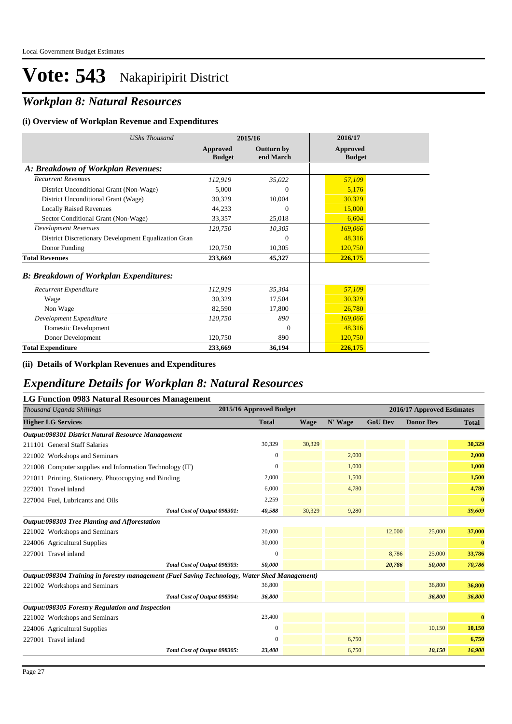## *Workplan 8: Natural Resources*

#### **(i) Overview of Workplan Revenue and Expenditures**

| <b>UShs Thousand</b>                                 |                           | 2015/16                        | 2016/17                          |  |
|------------------------------------------------------|---------------------------|--------------------------------|----------------------------------|--|
|                                                      | Approved<br><b>Budget</b> | <b>Outturn by</b><br>end March | <b>Approved</b><br><b>Budget</b> |  |
| A: Breakdown of Workplan Revenues:                   |                           |                                |                                  |  |
| <b>Recurrent Revenues</b>                            | 112,919                   | 35,022                         | 57,109                           |  |
| District Unconditional Grant (Non-Wage)              | 5,000                     | $\Omega$                       | 5,176                            |  |
| District Unconditional Grant (Wage)                  | 30,329                    | 10,004                         | 30,329                           |  |
| <b>Locally Raised Revenues</b>                       | 44,233                    | $\theta$                       | 15,000                           |  |
| Sector Conditional Grant (Non-Wage)                  | 33,357                    | 25,018                         | 6,604                            |  |
| <b>Development Revenues</b>                          | 120,750                   | 10,305                         | 169,066                          |  |
| District Discretionary Development Equalization Gran |                           | $\overline{0}$                 | 48,316                           |  |
| Donor Funding                                        | 120,750                   | 10,305                         | 120,750                          |  |
| <b>Total Revenues</b>                                | 233,669                   | 45,327                         | 226,175                          |  |
| <b>B: Breakdown of Workplan Expenditures:</b>        |                           |                                |                                  |  |
| Recurrent Expenditure                                | 112,919                   | 35,304                         | 57,109                           |  |
| Wage                                                 | 30,329                    | 17,504                         | 30,329                           |  |
| Non Wage                                             | 82,590                    | 17,800                         | 26,780                           |  |
| Development Expenditure                              | 120,750                   | 890                            | 169,066                          |  |
| Domestic Development                                 |                           | $\Omega$                       | 48,316                           |  |
| Donor Development                                    | 120,750                   | 890                            | 120,750                          |  |
| <b>Total Expenditure</b>                             | 233,669                   | 36,194                         | 226,175                          |  |

#### **(ii) Details of Workplan Revenues and Expenditures**

### *Expenditure Details for Workplan 8: Natural Resources*

#### **LG Function 0983 Natural Resources Management**

| o<br>Thousand Uganda Shillings                                                                | 2015/16 Approved Budget |             | 2016/17 Approved Estimates |                |                  |              |
|-----------------------------------------------------------------------------------------------|-------------------------|-------------|----------------------------|----------------|------------------|--------------|
| <b>Higher LG Services</b>                                                                     | <b>Total</b>            | <b>Wage</b> | N' Wage                    | <b>GoU</b> Dev | <b>Donor Dev</b> | <b>Total</b> |
| Output:098301 District Natural Resource Management                                            |                         |             |                            |                |                  |              |
| 211101 General Staff Salaries                                                                 | 30,329                  | 30,329      |                            |                |                  | 30,329       |
| 221002 Workshops and Seminars                                                                 | 0                       |             | 2,000                      |                |                  | 2,000        |
| 221008 Computer supplies and Information Technology (IT)                                      | $\Omega$                |             | 1,000                      |                |                  | 1,000        |
| 221011 Printing, Stationery, Photocopying and Binding                                         | 2,000                   |             | 1,500                      |                |                  | 1,500        |
| 227001 Travel inland                                                                          | 6,000                   |             | 4,780                      |                |                  | 4,780        |
| 227004 Fuel, Lubricants and Oils                                                              | 2,259                   |             |                            |                |                  | $\bf{0}$     |
| Total Cost of Output 098301:                                                                  | 40,588                  | 30,329      | 9,280                      |                |                  | 39,609       |
| Output:098303 Tree Planting and Afforestation                                                 |                         |             |                            |                |                  |              |
| 221002 Workshops and Seminars                                                                 | 20,000                  |             |                            | 12,000         | 25,000           | 37,000       |
| 224006 Agricultural Supplies                                                                  | 30,000                  |             |                            |                |                  | $\bf{0}$     |
| 227001 Travel inland                                                                          | $\overline{0}$          |             |                            | 8,786          | 25,000           | 33,786       |
| Total Cost of Output 098303:                                                                  | 50,000                  |             |                            | 20,786         | 50,000           | 70,786       |
| Output:098304 Training in forestry management (Fuel Saving Technology, Water Shed Management) |                         |             |                            |                |                  |              |
| 221002 Workshops and Seminars                                                                 | 36,800                  |             |                            |                | 36,800           | 36,800       |
| Total Cost of Output 098304:                                                                  | 36,800                  |             |                            |                | 36,800           | 36,800       |
| Output:098305 Forestry Regulation and Inspection                                              |                         |             |                            |                |                  |              |
| 221002 Workshops and Seminars                                                                 | 23,400                  |             |                            |                |                  | $\bf{0}$     |
| 224006 Agricultural Supplies                                                                  | $\overline{0}$          |             |                            |                | 10,150           | 10,150       |
| 227001 Travel inland                                                                          | 0                       |             | 6,750                      |                |                  | 6,750        |
| Total Cost of Output 098305:                                                                  | 23,400                  |             | 6,750                      |                | 10,150           | 16,900       |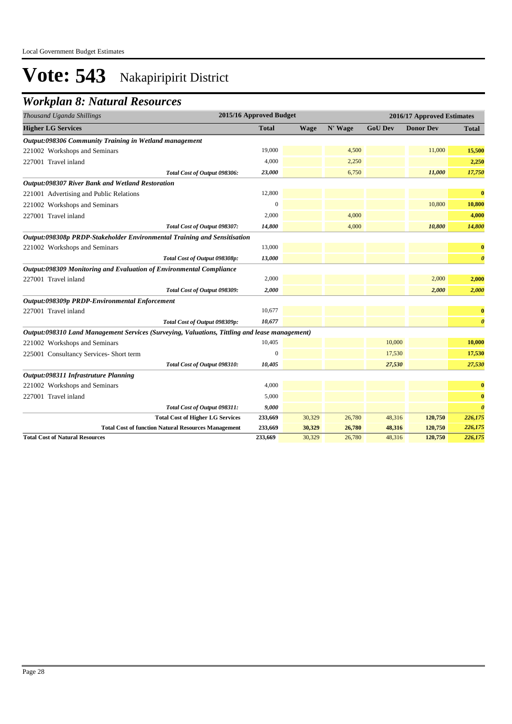## *Workplan 8: Natural Resources*

| Thousand Uganda Shillings                                                                     | 2015/16 Approved Budget |             |         |                | 2016/17 Approved Estimates |                       |
|-----------------------------------------------------------------------------------------------|-------------------------|-------------|---------|----------------|----------------------------|-----------------------|
| <b>Higher LG Services</b>                                                                     | <b>Total</b>            | <b>Wage</b> | N' Wage | <b>GoU Dev</b> | <b>Donor Dev</b>           | <b>Total</b>          |
| Output:098306 Community Training in Wetland management                                        |                         |             |         |                |                            |                       |
| 221002 Workshops and Seminars                                                                 | 19,000                  |             | 4,500   |                | 11,000                     | 15,500                |
| 227001 Travel inland                                                                          | 4,000                   |             | 2,250   |                |                            | 2,250                 |
| Total Cost of Output 098306:                                                                  | 23,000                  |             | 6,750   |                | 11,000                     | 17,750                |
| Output:098307 River Bank and Wetland Restoration                                              |                         |             |         |                |                            |                       |
| 221001 Advertising and Public Relations                                                       | 12,800                  |             |         |                |                            | $\bf{0}$              |
| 221002 Workshops and Seminars                                                                 | $\Omega$                |             |         |                | 10,800                     | 10,800                |
| 227001 Travel inland                                                                          | 2,000                   |             | 4,000   |                |                            | 4,000                 |
| Total Cost of Output 098307:                                                                  | 14,800                  |             | 4,000   |                | 10,800                     | 14,800                |
| Output:098308p PRDP-Stakeholder Environmental Training and Sensitisation                      |                         |             |         |                |                            |                       |
| 221002 Workshops and Seminars                                                                 | 13,000                  |             |         |                |                            | $\bf{0}$              |
| Total Cost of Output 098308p:                                                                 | 13,000                  |             |         |                |                            | $\boldsymbol{\theta}$ |
| Output:098309 Monitoring and Evaluation of Environmental Compliance                           |                         |             |         |                |                            |                       |
| 227001 Travel inland                                                                          | 2,000                   |             |         |                | 2,000                      | 2,000                 |
| Total Cost of Output 098309:                                                                  | 2,000                   |             |         |                | 2,000                      | 2,000                 |
| Output:098309p PRDP-Environmental Enforcement                                                 |                         |             |         |                |                            |                       |
| 227001 Travel inland                                                                          | 10,677                  |             |         |                |                            | $\bf{0}$              |
| Total Cost of Output 098309p:                                                                 | 10,677                  |             |         |                |                            | $\boldsymbol{\theta}$ |
| Output:098310 Land Management Services (Surveying, Valuations, Tittling and lease management) |                         |             |         |                |                            |                       |
| 221002 Workshops and Seminars                                                                 | 10,405                  |             |         | 10,000         |                            | 10,000                |
| 225001 Consultancy Services- Short term                                                       | $\overline{0}$          |             |         | 17,530         |                            | 17,530                |
| Total Cost of Output 098310:                                                                  | 10,405                  |             |         | 27,530         |                            | 27,530                |
| Output:098311 Infrastruture Planning                                                          |                         |             |         |                |                            |                       |
| 221002 Workshops and Seminars                                                                 | 4,000                   |             |         |                |                            | $\bf{0}$              |
| 227001 Travel inland                                                                          | 5,000                   |             |         |                |                            | $\bf{0}$              |
| Total Cost of Output 098311:                                                                  | 9,000                   |             |         |                |                            | $\boldsymbol{\theta}$ |
| <b>Total Cost of Higher LG Services</b>                                                       | 233,669                 | 30,329      | 26,780  | 48,316         | 120,750                    | 226,175               |
| <b>Total Cost of function Natural Resources Management</b>                                    | 233,669                 | 30,329      | 26,780  | 48,316         | 120,750                    | 226,175               |
| <b>Total Cost of Natural Resources</b>                                                        | 233,669                 | 30,329      | 26,780  | 48,316         | 120,750                    | 226,175               |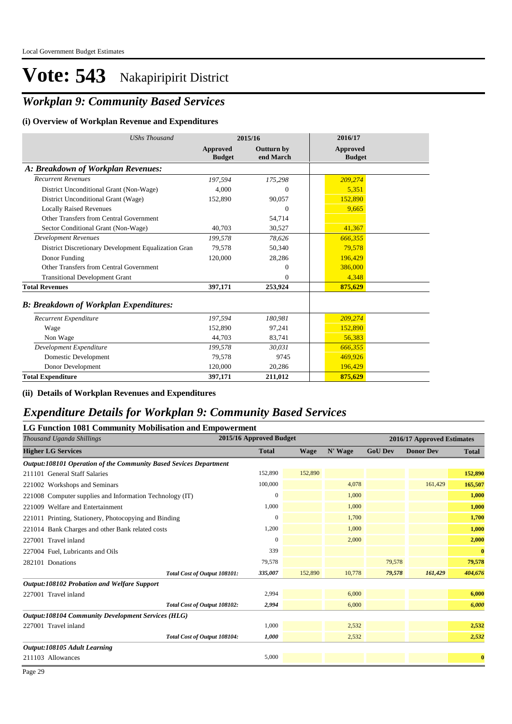## *Workplan 9: Community Based Services*

#### **(i) Overview of Workplan Revenue and Expenditures**

| <b>UShs Thousand</b>                                 |                           | 2015/16                        | 2016/17                          |  |
|------------------------------------------------------|---------------------------|--------------------------------|----------------------------------|--|
|                                                      | Approved<br><b>Budget</b> | <b>Outturn by</b><br>end March | <b>Approved</b><br><b>Budget</b> |  |
| A: Breakdown of Workplan Revenues:                   |                           |                                |                                  |  |
| <b>Recurrent Revenues</b>                            | 197.594                   | 175,298                        | 209,274                          |  |
| District Unconditional Grant (Non-Wage)              | 4.000                     | $\Omega$                       | 5,351                            |  |
| District Unconditional Grant (Wage)                  | 152,890                   | 90,057                         | 152,890                          |  |
| <b>Locally Raised Revenues</b>                       |                           | $\Omega$                       | 9,665                            |  |
| Other Transfers from Central Government              |                           | 54,714                         |                                  |  |
| Sector Conditional Grant (Non-Wage)                  | 40.703                    | 30,527                         | 41,367                           |  |
| <b>Development Revenues</b>                          | 199,578                   | 78,626                         | 666,355                          |  |
| District Discretionary Development Equalization Gran | 79.578                    | 50,340                         | 79.578                           |  |
| Donor Funding                                        | 120,000                   | 28,286                         | 196,429                          |  |
| Other Transfers from Central Government              |                           | $\Omega$                       | 386,000                          |  |
| <b>Transitional Development Grant</b>                |                           | $\Omega$                       | 4,348                            |  |
| <b>Total Revenues</b>                                | 397,171                   | 253,924                        | 875.629                          |  |
| <b>B: Breakdown of Workplan Expenditures:</b>        |                           |                                |                                  |  |
| Recurrent Expenditure                                | 197,594                   | 180,981                        | 209,274                          |  |
| Wage                                                 | 152,890                   | 97,241                         | 152,890                          |  |
| Non Wage                                             | 44,703                    | 83,741                         | 56,383                           |  |
| Development Expenditure                              | 199,578                   | 30,031                         | 666,355                          |  |
| Domestic Development                                 | 79,578                    | 9745                           | 469,926                          |  |
| Donor Development                                    | 120,000                   | 20,286                         | 196,429                          |  |
| <b>Total Expenditure</b>                             | 397,171                   | 211,012                        | 875,629                          |  |

#### **(ii) Details of Workplan Revenues and Expenditures**

#### *Expenditure Details for Workplan 9: Community Based Services*

#### **LG Function 1081 Community Mobilisation and Empowerment**

| Thousand Uganda Shillings                                         | 2015/16 Approved Budget |             |         |                |                  | 2016/17 Approved Estimates |  |
|-------------------------------------------------------------------|-------------------------|-------------|---------|----------------|------------------|----------------------------|--|
| <b>Higher LG Services</b>                                         | <b>Total</b>            | <b>Wage</b> | N' Wage | <b>GoU Dev</b> | <b>Donor Dev</b> | <b>Total</b>               |  |
| Output:108101 Operation of the Community Based Sevices Department |                         |             |         |                |                  |                            |  |
| 211101 General Staff Salaries                                     | 152,890                 | 152,890     |         |                |                  | 152,890                    |  |
| 221002 Workshops and Seminars                                     | 100,000                 |             | 4,078   |                | 161,429          | 165,507                    |  |
| 221008 Computer supplies and Information Technology (IT)          | $\mathbf{0}$            |             | 1,000   |                |                  | 1,000                      |  |
| 221009 Welfare and Entertainment                                  | 1,000                   |             | 1,000   |                |                  | 1,000                      |  |
| 221011 Printing, Stationery, Photocopying and Binding             | $\mathbf{0}$            |             | 1,700   |                |                  | 1,700                      |  |
| 221014 Bank Charges and other Bank related costs                  | 1,200                   |             | 1,000   |                |                  | 1,000                      |  |
| 227001 Travel inland                                              | $\mathbf{0}$            |             | 2,000   |                |                  | 2,000                      |  |
| 227004 Fuel, Lubricants and Oils                                  | 339                     |             |         |                |                  | $\bf{0}$                   |  |
| 282101 Donations                                                  | 79,578                  |             |         | 79,578         |                  | 79,578                     |  |
| Total Cost of Output 108101:                                      | 335,007                 | 152,890     | 10,778  | 79,578         | 161,429          | 404,676                    |  |
| <b>Output:108102 Probation and Welfare Support</b>                |                         |             |         |                |                  |                            |  |
| 227001 Travel inland                                              | 2,994                   |             | 6,000   |                |                  | 6,000                      |  |
| Total Cost of Output 108102:                                      | 2,994                   |             | 6,000   |                |                  | 6,000                      |  |
| <b>Output:108104 Community Development Services (HLG)</b>         |                         |             |         |                |                  |                            |  |
| 227001 Travel inland                                              | 1,000                   |             | 2,532   |                |                  | 2,532                      |  |
| Total Cost of Output 108104:                                      | 1,000                   |             | 2,532   |                |                  | 2,532                      |  |
| Output:108105 Adult Learning                                      |                         |             |         |                |                  |                            |  |
| 211103 Allowances                                                 | 5,000                   |             |         |                |                  | $\bf{0}$                   |  |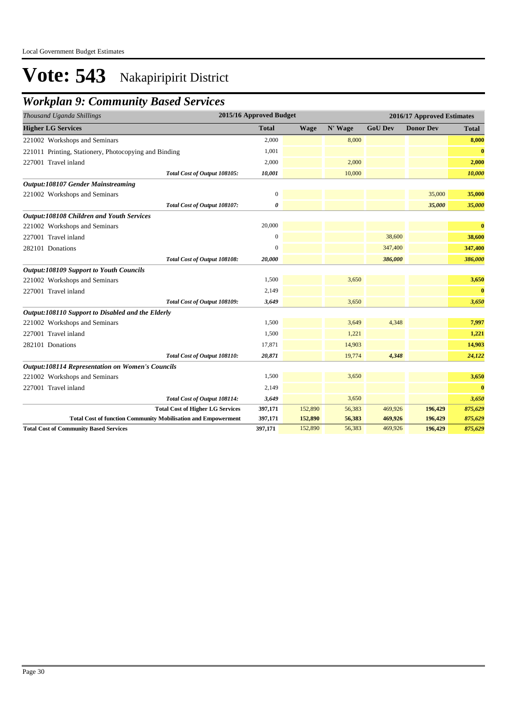## *Workplan 9: Community Based Services*

| Thousand Uganda Shillings                                            | 2015/16 Approved Budget |             | 2016/17 Approved Estimates |                |                  |              |  |
|----------------------------------------------------------------------|-------------------------|-------------|----------------------------|----------------|------------------|--------------|--|
| <b>Higher LG Services</b>                                            | <b>Total</b>            | <b>Wage</b> | N' Wage                    | <b>GoU Dev</b> | <b>Donor Dev</b> | <b>Total</b> |  |
| 221002 Workshops and Seminars                                        | 2,000                   |             | 8,000                      |                |                  | 8,000        |  |
| 221011 Printing, Stationery, Photocopying and Binding                | 1,001                   |             |                            |                |                  | $\bf{0}$     |  |
| 227001 Travel inland                                                 | 2,000                   |             | 2,000                      |                |                  | 2,000        |  |
| Total Cost of Output 108105:                                         | 10,001                  |             | 10,000                     |                |                  | 10,000       |  |
| <b>Output:108107 Gender Mainstreaming</b>                            |                         |             |                            |                |                  |              |  |
| 221002 Workshops and Seminars                                        | $\boldsymbol{0}$        |             |                            |                | 35,000           | 35,000       |  |
| Total Cost of Output 108107:                                         | 0                       |             |                            |                | 35,000           | 35,000       |  |
| <b>Output:108108 Children and Youth Services</b>                     |                         |             |                            |                |                  |              |  |
| 221002 Workshops and Seminars                                        | 20,000                  |             |                            |                |                  | $\bf{0}$     |  |
| 227001 Travel inland                                                 | $\Omega$                |             |                            | 38,600         |                  | 38,600       |  |
| 282101 Donations                                                     | $\mathbf{0}$            |             |                            | 347,400        |                  | 347,400      |  |
| Total Cost of Output 108108:                                         | 20,000                  |             |                            | 386,000        |                  | 386,000      |  |
| <b>Output:108109 Support to Youth Councils</b>                       |                         |             |                            |                |                  |              |  |
| 221002 Workshops and Seminars                                        | 1,500                   |             | 3,650                      |                |                  | 3,650        |  |
| 227001 Travel inland                                                 | 2,149                   |             |                            |                |                  | $\bf{0}$     |  |
| Total Cost of Output 108109:                                         | 3,649                   |             | 3,650                      |                |                  | 3,650        |  |
| Output:108110 Support to Disabled and the Elderly                    |                         |             |                            |                |                  |              |  |
| 221002 Workshops and Seminars                                        | 1,500                   |             | 3,649                      | 4,348          |                  | 7,997        |  |
| 227001 Travel inland                                                 | 1,500                   |             | 1,221                      |                |                  | 1,221        |  |
| 282101 Donations                                                     | 17,871                  |             | 14,903                     |                |                  | 14,903       |  |
| Total Cost of Output 108110:                                         | 20,871                  |             | 19,774                     | 4,348          |                  | 24,122       |  |
| <b>Output:108114 Representation on Women's Councils</b>              |                         |             |                            |                |                  |              |  |
| 221002 Workshops and Seminars                                        | 1,500                   |             | 3,650                      |                |                  | 3,650        |  |
| 227001 Travel inland                                                 | 2,149                   |             |                            |                |                  | $\bf{0}$     |  |
| Total Cost of Output 108114:                                         | 3,649                   |             | 3,650                      |                |                  | 3,650        |  |
| <b>Total Cost of Higher LG Services</b>                              | 397,171                 | 152,890     | 56,383                     | 469,926        | 196,429          | 875,629      |  |
| <b>Total Cost of function Community Mobilisation and Empowerment</b> | 397,171                 | 152,890     | 56,383                     | 469,926        | 196,429          | 875,629      |  |
| <b>Total Cost of Community Based Services</b>                        | 397,171                 | 152,890     | 56,383                     | 469,926        | 196,429          | 875,629      |  |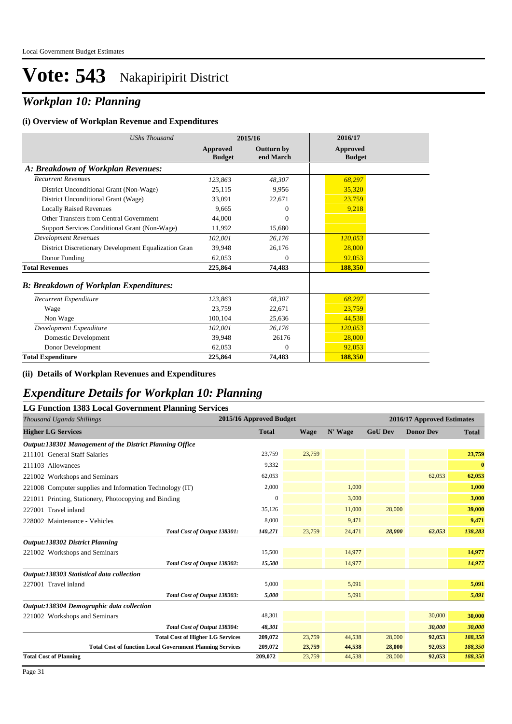## *Workplan 10: Planning*

#### **(i) Overview of Workplan Revenue and Expenditures**

| <b>UShs Thousand</b>                                 |                           | 2015/16                        | 2016/17                          |
|------------------------------------------------------|---------------------------|--------------------------------|----------------------------------|
|                                                      | Approved<br><b>Budget</b> | <b>Outturn by</b><br>end March | <b>Approved</b><br><b>Budget</b> |
| A: Breakdown of Workplan Revenues:                   |                           |                                |                                  |
| <b>Recurrent Revenues</b>                            | 123,863                   | 48.307                         | 68,297                           |
| District Unconditional Grant (Non-Wage)              | 25,115                    | 9.956                          | 35,320                           |
| District Unconditional Grant (Wage)                  | 33.091                    | 22.671                         | 23,759                           |
| <b>Locally Raised Revenues</b>                       | 9.665                     | $\theta$                       | 9,218                            |
| Other Transfers from Central Government              | 44,000                    | $\theta$                       |                                  |
| Support Services Conditional Grant (Non-Wage)        | 11,992                    | 15,680                         |                                  |
| <b>Development Revenues</b>                          | 102.001                   | 26.176                         | 120,053                          |
| District Discretionary Development Equalization Gran | 39.948                    | 26,176                         | 28,000                           |
| Donor Funding                                        | 62.053                    | $\theta$                       | 92.053                           |
| <b>Total Revenues</b>                                | 225,864                   | 74,483                         | 188,350                          |
| <b>B: Breakdown of Workplan Expenditures:</b>        |                           |                                |                                  |
| Recurrent Expenditure                                | 123,863                   | 48.307                         | 68,297                           |
| Wage                                                 | 23.759                    | 22,671                         | 23,759                           |
| Non Wage                                             | 100,104                   | 25,636                         | 44,538                           |
| Development Expenditure                              | 102,001                   | 26,176                         | 120,053                          |
| Domestic Development                                 | 39.948                    | 26176                          | 28,000                           |
| Donor Development                                    | 62,053                    | $\Omega$                       | 92,053                           |
| <b>Total Expenditure</b>                             | 225,864                   | 74,483                         | 188,350                          |

#### **(ii) Details of Workplan Revenues and Expenditures**

#### *Expenditure Details for Workplan 10: Planning*

| <b>LG Function 1383 Local Government Planning Services</b>       |                         |             |                            |                |                  |              |
|------------------------------------------------------------------|-------------------------|-------------|----------------------------|----------------|------------------|--------------|
| Thousand Uganda Shillings                                        | 2015/16 Approved Budget |             | 2016/17 Approved Estimates |                |                  |              |
| <b>Higher LG Services</b>                                        | <b>Total</b>            | <b>Wage</b> | N' Wage                    | <b>GoU Dev</b> | <b>Donor Dev</b> | <b>Total</b> |
| Output:138301 Management of the District Planning Office         |                         |             |                            |                |                  |              |
| 211101 General Staff Salaries                                    | 23,759                  | 23,759      |                            |                |                  | 23,759       |
| 211103 Allowances                                                | 9,332                   |             |                            |                |                  | $\bf{0}$     |
| 221002 Workshops and Seminars                                    | 62,053                  |             |                            |                | 62,053           | 62,053       |
| 221008 Computer supplies and Information Technology (IT)         | 2,000                   |             | 1,000                      |                |                  | 1,000        |
| 221011 Printing, Stationery, Photocopying and Binding            | $\mathbf{0}$            |             | 3,000                      |                |                  | 3,000        |
| 227001 Travel inland                                             | 35,126                  |             | 11,000                     | 28,000         |                  | 39,000       |
| 228002 Maintenance - Vehicles                                    | 8,000                   |             | 9,471                      |                |                  | 9,471        |
| Total Cost of Output 138301:                                     | 140,271                 | 23,759      | 24,471                     | 28,000         | 62,053           | 138,283      |
| Output:138302 District Planning                                  |                         |             |                            |                |                  |              |
| 221002 Workshops and Seminars                                    | 15,500                  |             | 14,977                     |                |                  | 14,977       |
| Total Cost of Output 138302:                                     | 15,500                  |             | 14,977                     |                |                  | 14,977       |
| Output:138303 Statistical data collection                        |                         |             |                            |                |                  |              |
| 227001 Travel inland                                             | 5,000                   |             | 5,091                      |                |                  | 5,091        |
| Total Cost of Output 138303:                                     | 5,000                   |             | 5,091                      |                |                  | 5,091        |
| Output:138304 Demographic data collection                        |                         |             |                            |                |                  |              |
| 221002 Workshops and Seminars                                    | 48,301                  |             |                            |                | 30,000           | 30,000       |
| Total Cost of Output 138304:                                     | 48,301                  |             |                            |                | 30,000           | 30,000       |
| <b>Total Cost of Higher LG Services</b>                          | 209,072                 | 23,759      | 44,538                     | 28,000         | 92,053           | 188,350      |
| <b>Total Cost of function Local Government Planning Services</b> | 209,072                 | 23,759      | 44,538                     | 28,000         | 92,053           | 188,350      |
| <b>Total Cost of Planning</b>                                    | 209,072                 | 23,759      | 44,538                     | 28,000         | 92,053           | 188,350      |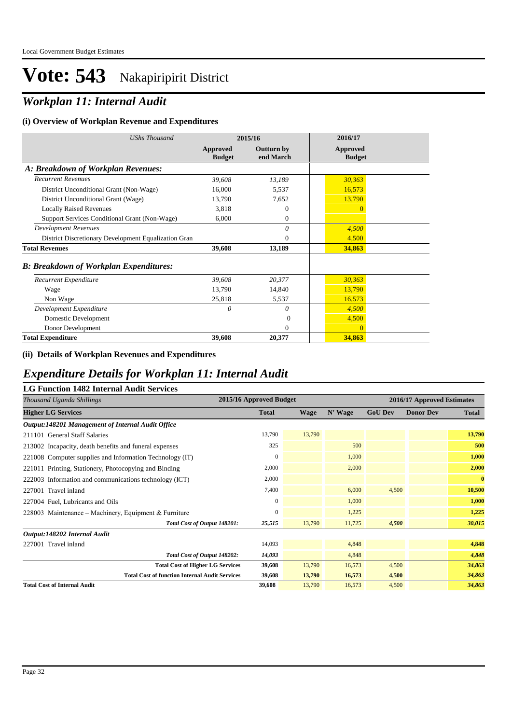## *Workplan 11: Internal Audit*

#### **(i) Overview of Workplan Revenue and Expenditures**

| <b>UShs Thousand</b>                                 |                           | 2015/16                        | 2016/17                   |
|------------------------------------------------------|---------------------------|--------------------------------|---------------------------|
|                                                      | Approved<br><b>Budget</b> | <b>Outturn by</b><br>end March | Approved<br><b>Budget</b> |
| A: Breakdown of Workplan Revenues:                   |                           |                                |                           |
| <b>Recurrent Revenues</b>                            | 39,608                    | 13,189                         | 30,363                    |
| District Unconditional Grant (Non-Wage)              | 16,000                    | 5,537                          | 16,573                    |
| District Unconditional Grant (Wage)                  | 13,790                    | 7,652                          | 13,790                    |
| <b>Locally Raised Revenues</b>                       | 3,818                     | $\Omega$                       | $\Omega$                  |
| Support Services Conditional Grant (Non-Wage)        | 6,000                     | $\Omega$                       |                           |
| <b>Development Revenues</b>                          |                           | 0                              | 4,500                     |
| District Discretionary Development Equalization Gran |                           | $\Omega$                       | 4,500                     |
| <b>Total Revenues</b>                                | 39,608                    | 13,189                         | 34,863                    |
| <b>B: Breakdown of Workplan Expenditures:</b>        |                           |                                |                           |
| Recurrent Expenditure                                | 39,608                    | 20,377                         | 30,363                    |
| Wage                                                 | 13,790                    | 14,840                         | 13,790                    |
| Non Wage                                             | 25,818                    | 5,537                          | 16,573                    |
| Development Expenditure                              | $\theta$                  | 0                              | 4,500                     |
| Domestic Development                                 |                           | $\Omega$                       | 4,500                     |
| Donor Development                                    |                           | $\Omega$                       | $\overline{0}$            |
| <b>Total Expenditure</b>                             | 39,608                    | 20,377                         | 34,863                    |

#### **(ii) Details of Workplan Revenues and Expenditures**

#### *Expenditure Details for Workplan 11: Internal Audit*

| <b>LG Function 1482 Internal Audit Services</b>          |                         |             |         |                |                            |              |  |
|----------------------------------------------------------|-------------------------|-------------|---------|----------------|----------------------------|--------------|--|
| Thousand Uganda Shillings                                | 2015/16 Approved Budget |             |         |                | 2016/17 Approved Estimates |              |  |
| <b>Higher LG Services</b>                                | <b>Total</b>            | <b>Wage</b> | N' Wage | <b>GoU Dev</b> | <b>Donor Dev</b>           | <b>Total</b> |  |
| Output:148201 Management of Internal Audit Office        |                         |             |         |                |                            |              |  |
| 211101 General Staff Salaries                            | 13,790                  | 13,790      |         |                |                            | 13,790       |  |
| 213002 Incapacity, death benefits and funeral expenses   | 325                     |             | 500     |                |                            | 500          |  |
| 221008 Computer supplies and Information Technology (IT) | $\mathbf{0}$            |             | 1,000   |                |                            | 1,000        |  |
| 221011 Printing, Stationery, Photocopying and Binding    | 2,000                   |             | 2,000   |                |                            | 2,000        |  |
| 222003 Information and communications technology (ICT)   | 2,000                   |             |         |                |                            | $\bf{0}$     |  |
| 227001 Travel inland                                     | 7,400                   |             | 6,000   | 4.500          |                            | 10,500       |  |
| 227004 Fuel, Lubricants and Oils                         | $\mathbf{0}$            |             | 1,000   |                |                            | 1,000        |  |
| 228003 Maintenance – Machinery, Equipment & Furniture    | $\Omega$                |             | 1,225   |                |                            | 1,225        |  |
| Total Cost of Output 148201:                             | 25,515                  | 13,790      | 11,725  | 4,500          |                            | 30,015       |  |
| Output:148202 Internal Audit                             |                         |             |         |                |                            |              |  |
| 227001 Travel inland                                     | 14,093                  |             | 4,848   |                |                            | 4,848        |  |
| Total Cost of Output 148202:                             | 14,093                  |             | 4,848   |                |                            | 4,848        |  |
| <b>Total Cost of Higher LG Services</b>                  | 39,608                  | 13,790      | 16,573  | 4,500          |                            | 34,863       |  |
| <b>Total Cost of function Internal Audit Services</b>    | 39,608                  | 13,790      | 16,573  | 4,500          |                            | 34,863       |  |
| <b>Total Cost of Internal Audit</b>                      | 39,608                  | 13,790      | 16,573  | 4,500          |                            | 34,863       |  |